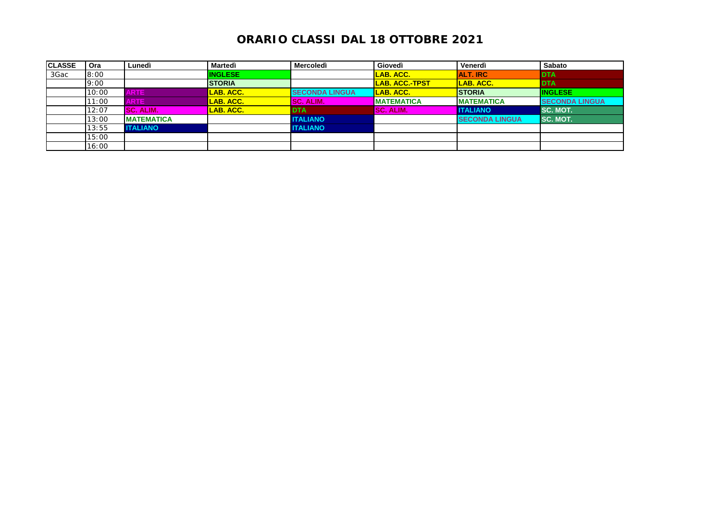| <b>CLASSE</b> | Ora   | Lunedì             | Martedì          | Mercoledì             | Giovedì               | Venerdì               | <b>Sabato</b>         |
|---------------|-------|--------------------|------------------|-----------------------|-----------------------|-----------------------|-----------------------|
| 3Gac          | 8:00  |                    | <b>INGLESE</b>   |                       | LAB. ACC.             | <b>ALT. IRC</b>       | <b>IDTA</b>           |
|               | 9:00  |                    | <b>STORIA</b>    |                       | <b>LAB. ACC.-TPST</b> | LAB. ACC.             | <b>DTA</b>            |
|               | 10:00 | <b>ARTE</b>        | LAB. ACC.        | <b>SECONDA LINGUA</b> | LAB. ACC.             | <b>STORIA</b>         | <b>INGLESE</b>        |
|               | 11:00 | <b>ARTE</b>        | LAB. ACC.        | <b>SC. ALIM.</b>      | <b>MATEMATICA</b>     | <b>MATEMATICA</b>     | <b>SECONDA LINGUA</b> |
|               | 12:07 | SC. ALIM.          | <b>LAB. ACC.</b> | <b>DTA</b>            | <b>SC. ALIM.</b>      | <b>ITALIANO</b>       | SC. MOT.              |
|               | 13:00 | <b>IMATEMATICA</b> |                  | <b>ITALIANO</b>       |                       | <b>SECONDA LINGUA</b> | <b>SC. MOT.</b>       |
|               | 13:55 | <b>ITALIANO</b>    |                  | <b>ITALIANO</b>       |                       |                       |                       |
|               | 15:00 |                    |                  |                       |                       |                       |                       |
|               | 16:00 |                    |                  |                       |                       |                       |                       |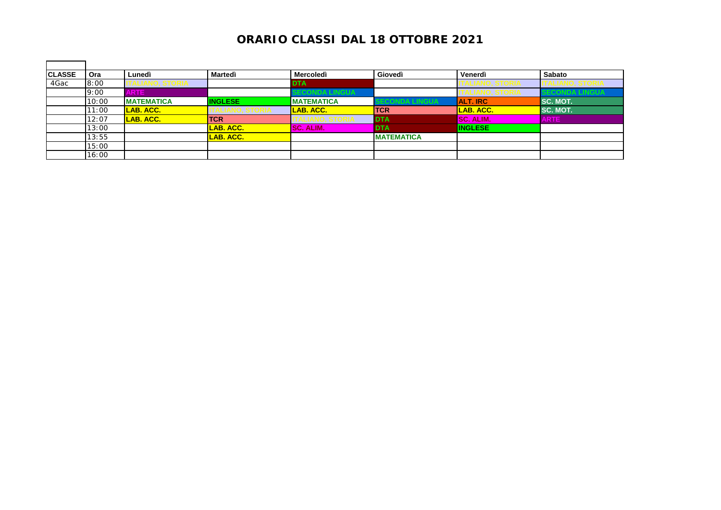| <b>CLASSE</b> | Ora   | Lunedì            | <b>Martedì</b>   | Mercoledì         | Giovedì           | Venerdì          | Sabato       |
|---------------|-------|-------------------|------------------|-------------------|-------------------|------------------|--------------|
| 4Gac          | 8:00  | (LIANO, STORIA)   |                  | <b>DTA</b>        |                   |                  |              |
|               | 9:00  | <b>ARTE</b>       |                  | CONDA LINGUA      |                   | LIANU, ƏTUNIA    | CONDA LINGUA |
|               | 10:00 | <b>MATEMATICA</b> | <b>INGLESE</b>   | <b>MATEMATICA</b> | CONDA LINGUA      | <b>ALT. IRC</b>  | SC. MOT.     |
|               | 11:00 | LAB. ACC.         |                  | <b>LAB. ACC.</b>  | <b>TCR</b>        | LAB. ACC.        | SC. MOT.     |
|               | 12:07 | LAB. ACC.         | <b>TCR</b>       | LIANO. STOKIA     | <b>IDTA</b>       | <b>SC. ALIM.</b> | <b>ARTE</b>  |
|               | 13:00 |                   | <b>LAB. ACC.</b> | <b>SC. ALIM.</b>  | <b>DTA</b>        | <b>INGLESE</b>   |              |
|               | 13:55 |                   | LAB. ACC.        |                   | <b>MATEMATICA</b> |                  |              |
|               | 15:00 |                   |                  |                   |                   |                  |              |
|               | 16:00 |                   |                  |                   |                   |                  |              |

 $\blacksquare$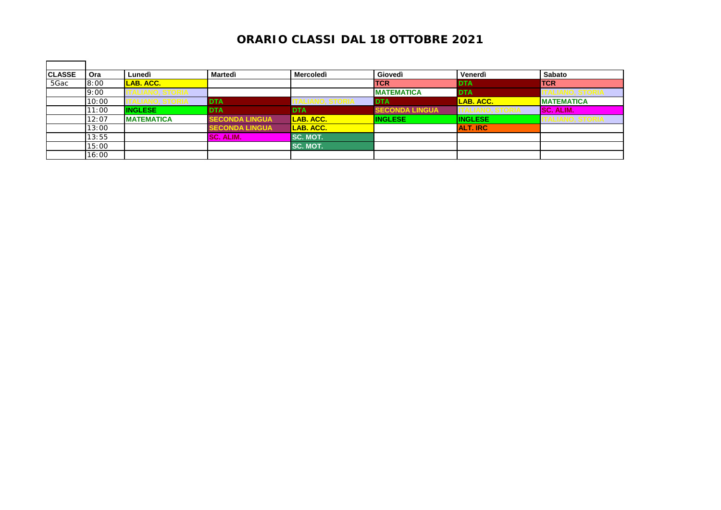| <b>CLASSE</b> | Ora   | Lunedì              | Martedì               | <b>Mercoledì</b> | Giovedì               | Venerdì          | Sabato                 |
|---------------|-------|---------------------|-----------------------|------------------|-----------------------|------------------|------------------------|
| 5Gac          | 8:00  | LAB. ACC.           |                       |                  | <b>TCR</b>            | <b>IDTA</b>      | <b>TCR</b>             |
|               | 9:00  | ALIANU, JI UNIA     |                       |                  | <b>MATEMATICA</b>     | <b>DTA</b>       | (LIANU, ƏTUNIA         |
|               | 10:00 | <u>IANU, ƏTUNIA</u> | <b>DTA</b>            |                  | <b>DTA</b>            | <b>LAB. ACC.</b> | <b>MATEMATICA</b>      |
|               | 11:00 | <b>INGLESE</b>      | <b>DTA</b>            | <b>DTA</b>       | <b>SECONDA LINGUA</b> |                  | <b>SC. ALIM.</b>       |
|               | 12:07 | <b>MATEMATICA</b>   | <b>SECONDA LINGUA</b> | <b>LAB. ACC.</b> | <b>INGLESE</b>        | <b>INGLESE</b>   | <b>TALIANO, STORIA</b> |
|               | 13:00 |                     | <b>SECONDA LINGUA</b> | <b>LAB. ACC.</b> |                       | <b>ALT. IRC</b>  |                        |
|               | 13:55 |                     | <b>SC. ALIM.</b>      | SC. MOT.         |                       |                  |                        |
|               | 15:00 |                     |                       | SC. MOT.         |                       |                  |                        |
|               | 16:00 |                     |                       |                  |                       |                  |                        |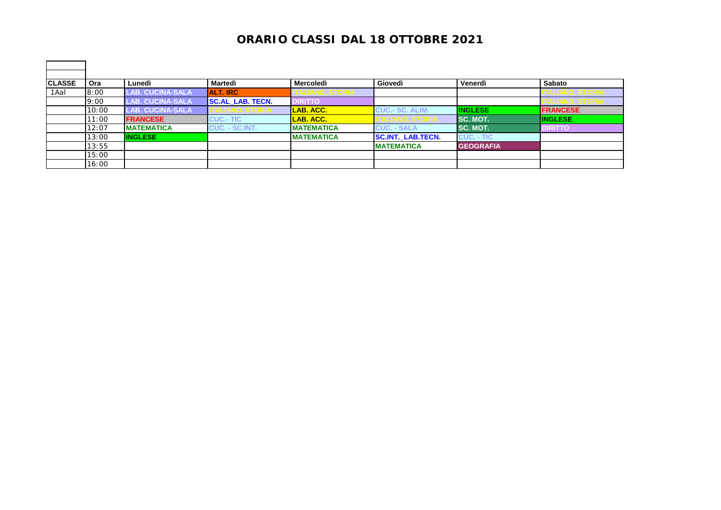| Ora   | Lunedì                  |                         |                   |                          |                  | Sabato          |
|-------|-------------------------|-------------------------|-------------------|--------------------------|------------------|-----------------|
| 8:00  | <b>LAB. CUCINA-SALA</b> | <b>ALT. IRC</b>         |                   |                          |                  |                 |
| 9:00  | <b>LAB. CUCINA-SALA</b> | <b>SC.AL LAB. TECN.</b> | <b>DIRITTO</b>    |                          |                  |                 |
| 10:00 | <b>LAB. CUCINA-SALA</b> |                         | LAB. ACC.         | <b>CUC.- SC. ALIM.</b>   | <b>INGLESE</b>   | <b>FRANCESE</b> |
| 11:00 | <b>FRANCESE</b>         | <b>CUC.- TIC</b>        | LAB. ACC.         | <u>VALIANU. STOKIA</u>   | <b>SC. MOT.</b>  | <b>INGLESE</b>  |
| 12:07 |                         | <b>CUC. - SC.INT.</b>   | <b>MATEMATICA</b> | <b>CUC. - SALA</b>       | <b>ISC. MOT.</b> | <b>DIRITTO</b>  |
| 13:00 | <b>INGLESE</b>          |                         | <b>MATEMATICA</b> | <b>SC.INT. LAB.TECN.</b> | CUC. - TIC       |                 |
| 13:55 |                         |                         |                   | <b>MATEMATICA</b>        | <b>GEOGRAFIA</b> |                 |
| 15:00 |                         |                         |                   |                          |                  |                 |
| 16:00 |                         |                         |                   |                          |                  |                 |
|       |                         | <b>MATEMATICA</b>       | Martedì           | <b>Mercoledì</b>         | Giovedì          | Venerdì         |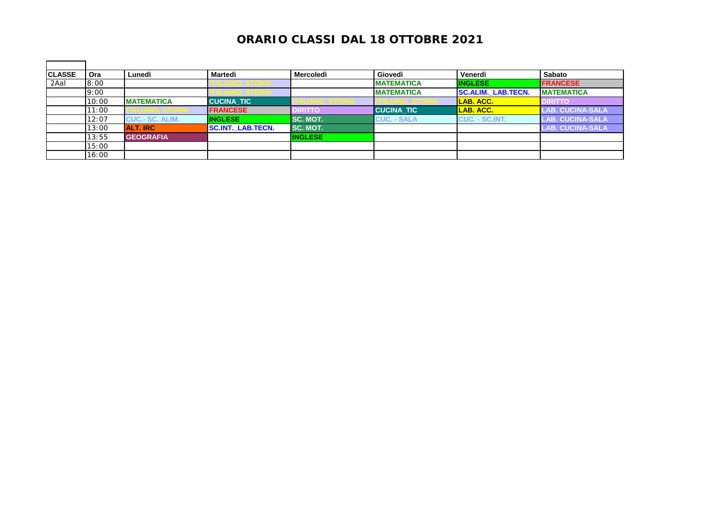| <b>CLASSE</b> | Ora   | Lunedì                 | Martedì                  | <b>Mercoledì</b> | Giovedì            | Venerdì                   | <b>Sabato</b>             |
|---------------|-------|------------------------|--------------------------|------------------|--------------------|---------------------------|---------------------------|
| 2Aal          | 8:00  |                        |                          |                  | <b>MATEMATICA</b>  | <b>INGLESE</b>            | <b>FRANCESE</b>           |
|               | 9:00  |                        |                          |                  | <b>MATEMATICA</b>  | <b>SC.ALIM. LAB.TECN.</b> | <b>MATEMATICA</b>         |
|               | 10:00 | <b>MATEMATICA</b>      | <b>CUCINA TIC</b>        |                  |                    | LAB. ACC.                 | <b>DIRITTO</b>            |
|               | 11:00 |                        | <b>FRANCESE</b>          | <b>DIRITTO</b>   | <b>CUCINA TIC</b>  | <b>LAB. ACC.</b>          | <b>LAB. CUCINA-SALA</b> ' |
|               | 12:07 | <b>CUC.- SC. ALIM.</b> | <b>INGLESE</b>           | SC. MOT.         | <b>CUC. - SALA</b> | CUC. - SC.INT.            | <b>LAB. CUCINA-SALA</b>   |
|               | 13:00 | <b>ALT. IRC</b>        | <b>SC.INT. LAB.TECN.</b> | SC. MOT.         |                    |                           | <b>LAB. CUCINA-SALA</b>   |
|               | 13:55 | <b>GEOGRAFIA</b>       |                          | <b>INGLESE</b>   |                    |                           |                           |
|               | 15:00 |                        |                          |                  |                    |                           |                           |
|               | 16:00 |                        |                          |                  |                    |                           |                           |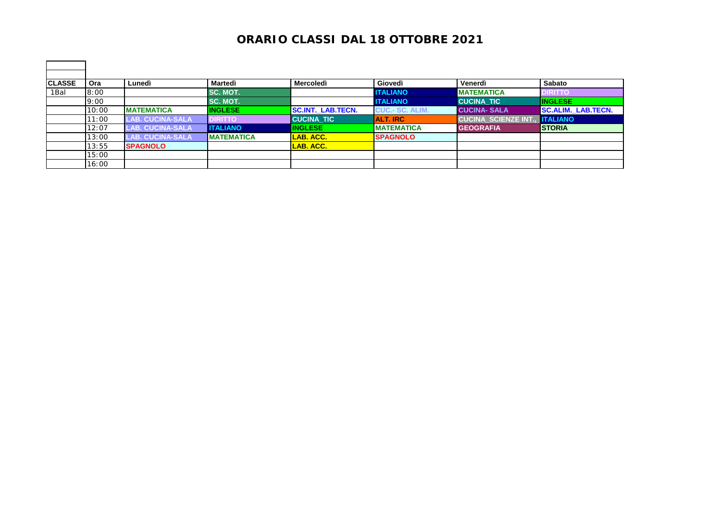| <b>CLASSE</b> | Ora   | Lunedì                  | Martedì           | Mercoledì                | Giovedì                | Venerdì                    | Sabato                    |
|---------------|-------|-------------------------|-------------------|--------------------------|------------------------|----------------------------|---------------------------|
| 1Bal          | 8:00  |                         | SC. MOT.          |                          | <b>ITALIANO</b>        | <b>MATEMATICA</b>          | <b>DIRITTO</b>            |
|               | 9:00  |                         | SC. MOT.          |                          | <b>ITALIANO</b>        | <b>CUCINA TIC</b>          | <b>INGLESE</b>            |
|               | 10:00 | <b>MATEMATICA</b>       | <b>INGLESE</b>    | <b>SC.INT. LAB.TECN.</b> | <b>CUC.- SC. ALIM.</b> | <b>CUCINA-SALA</b>         | <b>SC.ALIM. LAB.TECN.</b> |
|               | 11:00 | <b>LAB. CUCINA-SALA</b> | <b>DIRITTO</b>    | <b>CUCINA TIC</b>        | <b>ALT. IRC</b>        | <b>CUCINA SCIENZE INT.</b> | <b>ITALIANO</b>           |
|               | 12:07 | <b>LAB. CUCINA-SALA</b> | <b>I</b> ITALIANO | <b>INGLESE</b>           | <b>MATEMATICA</b>      | <b>GEOGRAFIA</b>           | <b>STORIA</b>             |
|               | 13:00 | <b>LAB. CUCINA-SALA</b> | <b>MATEMATICA</b> | LAB. ACC.                | <b>SPAGNOLO</b>        |                            |                           |
|               | 13:55 | <b>SPAGNOLO</b>         |                   | <b>LAB. ACC.</b>         |                        |                            |                           |
|               | 15:00 |                         |                   |                          |                        |                            |                           |
|               | 16:00 |                         |                   |                          |                        |                            |                           |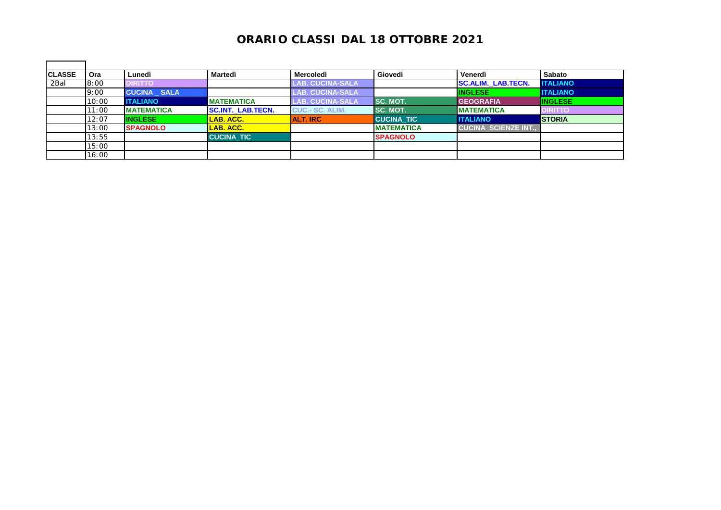| <b>CLASSE</b> | Ora   | Lunedì             | Martedì                  | <b>Mercoledì</b>        | Giovedì           | Venerdì                    | Sabato          |
|---------------|-------|--------------------|--------------------------|-------------------------|-------------------|----------------------------|-----------------|
| 2Bal          | 8:00  | DIRITTO            |                          | <b>LAB. CUCINA-SALA</b> |                   | <b>SC.ALIM. LAB.TECN.</b>  | <b>ITALIANO</b> |
|               | 9:00  | <b>CUCINA SALA</b> |                          | <b>LAB. CUCINA-SALA</b> |                   | <b>INGLESE</b>             | <b>ITALIANO</b> |
|               | 10:00 | <b>ITALIANO</b>    | <b>IMATEMATICA</b>       | <b>LAB. CUCINA-SALA</b> | <b>ISC. MOT.</b>  | <b>GEOGRAFIA</b>           | <b>INGLESE</b>  |
|               | 11:00 | <b>MATEMATICA</b>  | <b>SC.INT. LAB.TECN.</b> | <b>CUC.- SC. ALIM.</b>  | <b>ISC. MOT.</b>  | <b>IMATEMATICA</b>         | <b>DIRITTO</b>  |
|               | 12:07 | <b>INGLESE</b>     | LAB. ACC.                | <b>ALT. IRC</b>         | <b>CUCINA TIC</b> | <b>ITALIANO</b>            | <b>STORIA</b>   |
|               | 13:00 | <b>SPAGNOLO</b>    | LAB. ACC.                |                         | <b>MATEMATICA</b> | <b>CUCINA SCIENZE INT.</b> |                 |
|               | 13:55 |                    | <b>CUCINA TIC</b>        |                         | <b>SPAGNOLO</b>   |                            |                 |
|               | 15:00 |                    |                          |                         |                   |                            |                 |
|               | 16:00 |                    |                          |                         |                   |                            |                 |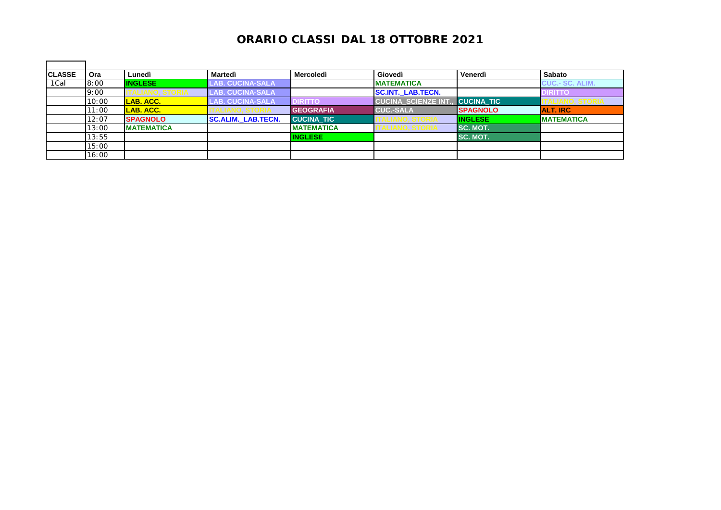| <b>CLASSE</b> | Ora   | Lunedì            | Martedì                   | Mercoledì         | Giovedì                   | Venerdì           | Sabato                 |
|---------------|-------|-------------------|---------------------------|-------------------|---------------------------|-------------------|------------------------|
| 1Cal          | 8:00  | <b>INGLESE</b>    | <b>LAB. CUCINA-SALA</b>   |                   | <b>MATEMATICA</b>         |                   | <b>CUC.- SC. ALIM.</b> |
|               | 9:00  |                   | LAB. CUCINA-SALA          |                   | <b>SC.INT._LAB.TECN.</b>  |                   | <b>DIRITTO</b>         |
|               | 10:00 | LAB. ACC.         | <b>LAB. CUCINA-SALA</b>   | <b>DIRITTO</b>    | <b>CUCINA SCIENZE INT</b> | <b>CUCINA TIC</b> |                        |
|               | 11:00 | LAB. ACC.         |                           | <b>GEOGRAFIA</b>  | <b>CUC.-SALA</b>          | <b>SPAGNOLO</b>   | <b>ALT. IRC</b>        |
|               | 12:07 | <b>SPAGNOLO</b>   | <b>SC.ALIM. LAB.TECN.</b> | <b>CUCINA TIC</b> |                           | <b>INGLESE</b>    | <b>MATEMATICA</b>      |
|               | 13:00 | <b>MATEMATICA</b> |                           | <b>MATEMATICA</b> |                           | <b>ISC. MOT.</b>  |                        |
|               | 13:55 |                   |                           | <b>INGLESE</b>    |                           | SC. MOT.          |                        |
|               | 15:00 |                   |                           |                   |                           |                   |                        |
|               | 16:00 |                   |                           |                   |                           |                   |                        |

 $\blacksquare$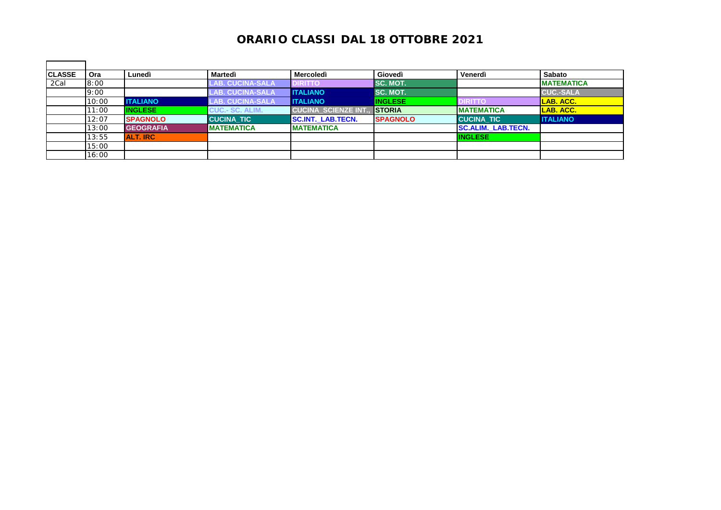| <b>CLASSE</b> | Ora   | Lunedì           | Martedì                | Mercoledì                  | Giovedì          | Venerdì                   | Sabato             |
|---------------|-------|------------------|------------------------|----------------------------|------------------|---------------------------|--------------------|
| 2Cal          | 8:00  |                  | <b>AB. CUCINA-SALA</b> | <b>DIRITTO</b>             | <b>ISC. MOT.</b> |                           | <b>IMATEMATICA</b> |
|               | 9:00  |                  | LAB. CUCINA-SALA       | <b>ITALIANO</b>            | SC. MOT.         |                           | <b>CUC.-SALA</b>   |
|               | 10:00 | <b>ITALIANO</b>  | LAB. CUCINA-SALA.      | <b>ITALIANO</b>            | <b>INGLESE</b>   | <b>DIRITTO</b>            | LAB. ACC.          |
|               | 11:00 | <b>INGLESE</b>   | <b>CUC.- SC. ALIM.</b> | <b>CUCINA SCIENZE INT.</b> | <b>ISTORIA</b>   | <b>IMATEMATICA</b>        | LAB. ACC.          |
|               | 12:07 | <b>SPAGNOLO</b>  | <b>CUCINA TIC</b>      | <b>SC.INT. LAB.TECN.</b>   | <b>SPAGNOLO</b>  | <b>CUCINA TIC</b>         | <b>ITALIANO</b>    |
|               | 13:00 | <b>GEOGRAFIA</b> | <b>MATEMATICA</b>      | <b>MATEMATICA</b>          |                  | <b>SC.ALIM. LAB.TECN.</b> |                    |
|               | 13:55 | ALT. IRC         |                        |                            |                  | <b>INGLESE</b>            |                    |
|               | 15:00 |                  |                        |                            |                  |                           |                    |
|               | 16:00 |                  |                        |                            |                  |                           |                    |

 $\blacksquare$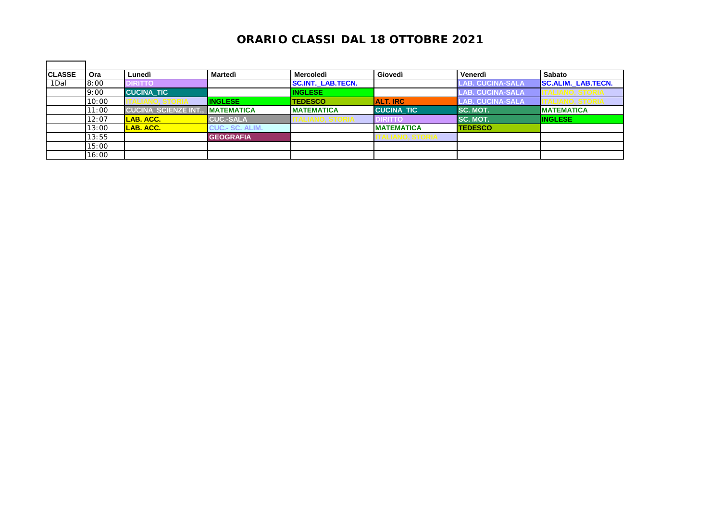| <b>CLASSE</b> | Ora   | Lunedì                    | Martedì                | <b>Mercoledì</b>         | Giovedì           | Venerdì                       | <b>Sabato</b>             |
|---------------|-------|---------------------------|------------------------|--------------------------|-------------------|-------------------------------|---------------------------|
| 1Dal          | 8:00  | <b>DIRITTO</b>            |                        | <b>SC.INT. LAB.TECN.</b> |                   | LAB. CUCINA-SALA <sup>I</sup> | <b>SC.ALIM. LAB.TECN.</b> |
|               | 9:00  | <b>CUCINA TIC</b>         |                        | <b>INGLESE</b>           |                   | <b>LAB. CUCINA-SALA</b>       |                           |
|               | 10:00 |                           | <b>INGLESE</b>         | <b>TEDESCO</b>           | <b>ALT. IRC</b>   | <b>LAB. CUCINA-SALA</b>       | U. S UNIA                 |
|               | 11:00 | <b>CUCINA SCIENZE INT</b> | <b>IMATEMATICA</b>     | <b>MATEMATICA</b>        | <b>CUCINA TIC</b> | <b>SC. MOT.</b>               | <b>MATEMATICA</b>         |
|               | 12:07 | <b>LAB. ACC.</b>          | <b>CUC.-SALA</b>       | ALIANU, ƏTURIA           | <b>DIRITTO</b>    | <b>ISC. MOT.</b>              | <b>INGLESE</b>            |
|               | 13:00 | LAB. ACC.                 | <b>CUC.- SC. ALIM.</b> |                          | <b>MATEMATICA</b> | <b>TEDESCO</b>                |                           |
|               | 13:55 |                           | <b>GEOGRAFIA</b>       |                          | IALIANV, ƏTVNIA   |                               |                           |
|               | 15:00 |                           |                        |                          |                   |                               |                           |
|               | 16:00 |                           |                        |                          |                   |                               |                           |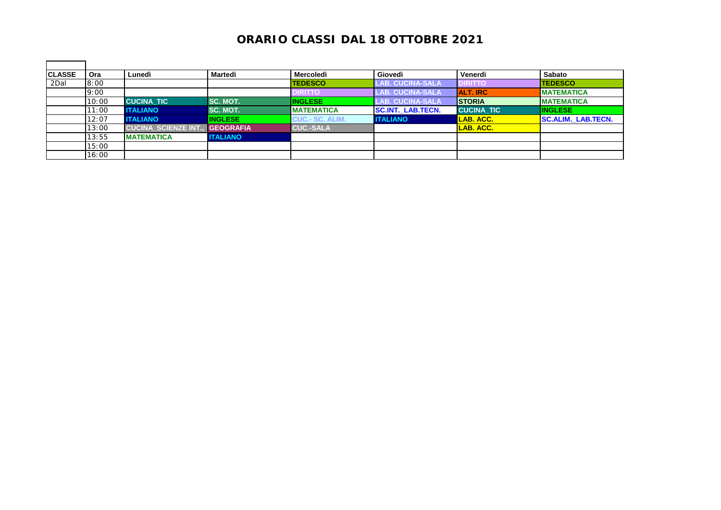| <b>CLASSE</b> | Ora   | Lunedì                    | Martedì          | <b>Mercoledì</b>       | Giovedì                  | Venerdì           | <b>Sabato</b>             |
|---------------|-------|---------------------------|------------------|------------------------|--------------------------|-------------------|---------------------------|
| 2Dal          | 8:00  |                           |                  | <b>TEDESCO</b>         | <b>LAB. CUCINA-SALA</b>  | <b>DIRITTO</b>    | <b>TEDESCO</b>            |
|               | 9:00  |                           |                  | <b>DIRITTO</b>         | <b>LAB. CUCINA-SALA</b>  | <b>ALT. IRC</b>   | <b>MATEMATICA</b>         |
|               | 10:00 | <b>CUCINA TIC</b>         | SC. MOT.         | <b>INGLESE</b>         | <b>AB. CUCINA-SALA</b>   | <b>ISTORIA</b>    | <b>IMATEMATICA</b>        |
|               | 11:00 | <b>ITALIANO</b>           | SC. MOT.         | <b>MATEMATICA</b>      | <b>SC.INT. LAB.TECN.</b> | <b>CUCINA TIC</b> | <b>INGLESE</b>            |
|               | 12:07 | <b>ITALIANO</b>           | <b>INGLESE</b>   | <b>CUC.- SC. ALIM.</b> | <b>ITALIANO</b>          | ILAB. ACC.        | <b>SC.ALIM. LAB.TECN.</b> |
|               | 13:00 | <b>CUCINA SCIENZE INT</b> | <b>GEOGRAFIA</b> | <b>CUC.-SALA</b>       |                          | LAB. ACC.         |                           |
|               | 13:55 | <b>MATEMATICA</b>         | <b>ITALIANO</b>  |                        |                          |                   |                           |
|               | 15:00 |                           |                  |                        |                          |                   |                           |
|               | 16:00 |                           |                  |                        |                          |                   |                           |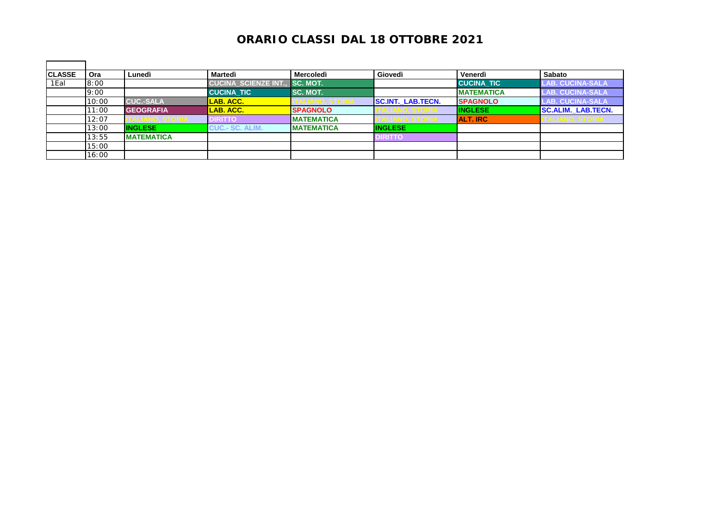| <b>CLASSE</b> | Ora   | Lunedì            | Martedì                   | <b>Mercoledì</b>   | Giovedì                  | Venerdì           | <b>Sabato</b>                 |
|---------------|-------|-------------------|---------------------------|--------------------|--------------------------|-------------------|-------------------------------|
| 1Eal          | 8:00  |                   | <b>CUCINA SCIENZE INT</b> | <b>SC. MOT.</b>    |                          | <b>CUCINA TIC</b> | <b>LAB. CUCINA-SALA</b>       |
|               | 9:00  |                   | <b>CUCINA TIC</b>         | SC. MOT.           |                          | <b>MATEMATICA</b> | LAB. CUCINA-SALA <sup>\</sup> |
|               | 10:00 | <b>CUC.-SALA</b>  | <b>LAB. ACC.</b>          |                    | <b>SC.INT. LAB.TECN.</b> | <b>SPAGNOLO</b>   | <b>LAB. CUCINA-SALA</b>       |
|               | 11:00 | <b>GEOGRAFIA</b>  | LAB. ACC.                 | <b>SPAGNOLO</b>    |                          | <b>INGLESE</b>    | <b>SC.ALIM. LAB.TECN.</b>     |
|               | 12:07 |                   | <b>IRITTO</b>             | <b>IMATEMATICA</b> |                          | <b>ALT. IRC</b>   | HALIANU, ƏTURIA               |
|               | 13:00 | <b>INGLESE</b>    | <b>CUC.- SC. ALIM.</b>    | <b>IMATEMATICA</b> | <b>INGLESE</b>           |                   |                               |
|               | 13:55 | <b>MATEMATICA</b> |                           |                    | <b>IRITTO</b>            |                   |                               |
|               | 15:00 |                   |                           |                    |                          |                   |                               |
|               | 16:00 |                   |                           |                    |                          |                   |                               |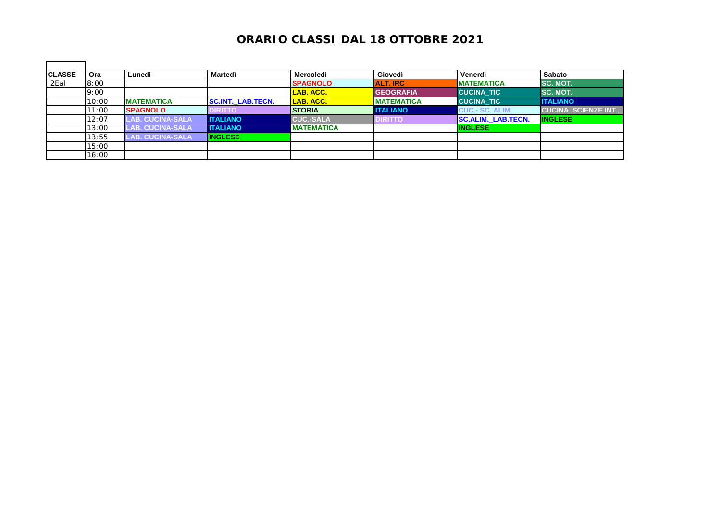| <b>CLASSE</b> | Ora   | Lunedì                  | Martedì                  | <b>Mercoledì</b>  | Giovedì           | Venerdì                   | <b>Sabato</b>             |
|---------------|-------|-------------------------|--------------------------|-------------------|-------------------|---------------------------|---------------------------|
| 2Eal          | 8:00  |                         |                          | <b>SPAGNOLO</b>   | <b>ALT. IRC</b>   | <b>IMATEMATICA</b>        | SC. MOT.                  |
|               | 9:00  |                         |                          | LAB. ACC.         | <b>GEOGRAFIA</b>  | <b>CUCINA TIC</b>         | SC. MOT.                  |
|               | 10:00 | <b>MATEMATICA</b>       | <b>SC.INT. LAB.TECN.</b> | LAB. ACC.         | <b>MATEMATICA</b> | <b>CUCINA TIC</b>         | <b>ITALIANO</b>           |
|               | 11:00 | <b>SPAGNOLO</b>         | <b>DIRITTO</b>           | <b>STORIA</b>     | <b>ITALIANO</b>   | <b>CUC.- SC. ALIM.</b>    | <b>CUCINA SCIENZE INT</b> |
|               | 12:07 | <b>LAB. CUCINA-SALA</b> | <b>I</b> ITALIANO        | <b>CUC.-SALA</b>  | <b>DIRITTO</b>    | <b>SC.ALIM. LAB.TECN.</b> | <b>INGLESE</b>            |
|               | 13:00 | <b>LAB. CUCINA-SALA</b> | <b>I</b> ITALIANO        | <b>MATEMATICA</b> |                   | <b>INGLESE</b>            |                           |
|               | 13:55 | <b>LAB. CUCINA-SALA</b> | <b>INGLESE</b>           |                   |                   |                           |                           |
|               | 15:00 |                         |                          |                   |                   |                           |                           |
|               | 16:00 |                         |                          |                   |                   |                           |                           |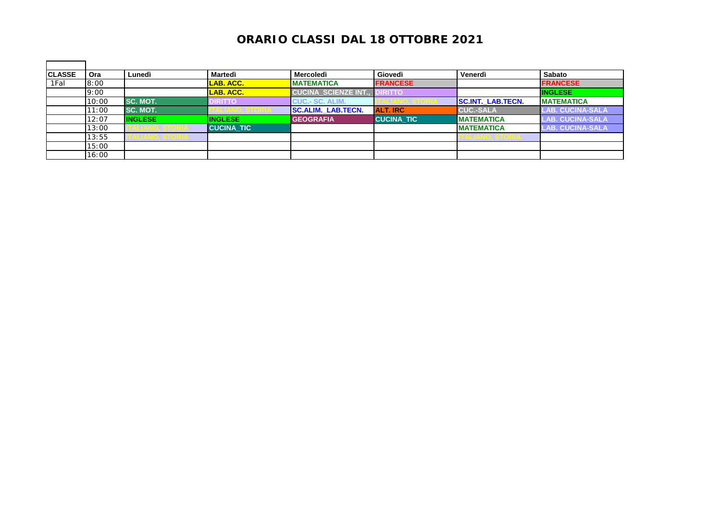| <b>CLASSE</b> | Ora   | Lunedì             | Martedì           | <b>Mercoledì</b>           | Giovedì           | Venerdì                  | Sabato                  |
|---------------|-------|--------------------|-------------------|----------------------------|-------------------|--------------------------|-------------------------|
| 1Fal          | 8:00  |                    | LAB. ACC.         | <b>MATEMATICA</b>          | <b>FRANCESE</b>   |                          | <b>FRANCESE</b>         |
|               | 9:00  |                    | LAB. ACC.         | <b>CUCINA SCIENZE INT.</b> | DIRITTO           |                          | <b>INGLESE</b>          |
|               | 10:00 | <b>SC. MOT.</b>    | <b>DIRITTO</b>    | <b>CUC.- SC. ALIM.</b>     |                   | <b>SC.INT. LAB.TECN.</b> | <b>MATEMATICA</b>       |
|               | 11:00 | SC. MOT.           |                   | <b>SC.ALIM. LAB.TECN.</b>  | <b>ALT. IRC</b>   | <b>CUC.-SALA</b>         | <b>LAB. CUCINA-SALA</b> |
|               | 12:07 | <b>INGLESE</b>     | <b>INGLESE</b>    | <b>GEOGRAFIA</b>           | <b>CUCINA TIC</b> | <b>IMATEMATICA</b>       | <b>LAB. CUCINA-SALA</b> |
|               | 13:00 |                    | <b>CUCINA TIC</b> |                            |                   | <b>IMATEMATICA</b>       | <b>LAB. CUCINA-SALA</b> |
|               | 13:55 | I ALIANU, Ə I UKIA |                   |                            |                   | IALIANU, ƏTURIA          |                         |
|               | 15:00 |                    |                   |                            |                   |                          |                         |
|               | 16:00 |                    |                   |                            |                   |                          |                         |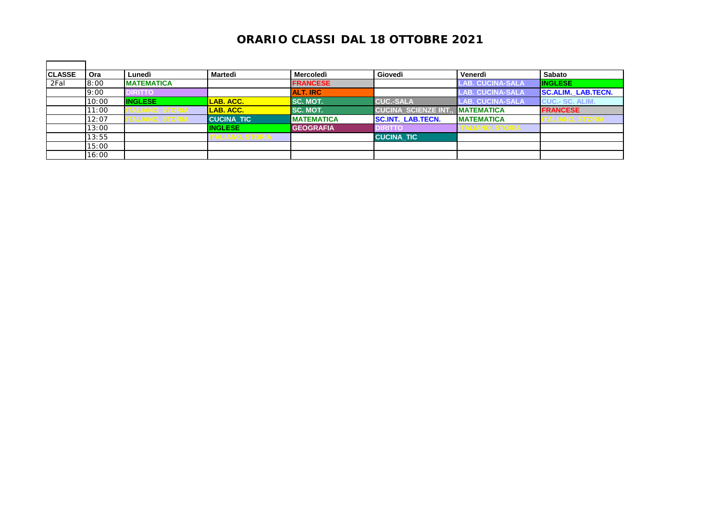| <b>CLASSE</b> | Ora   | Lunedì            | Martedì               | <b>Mercoledì</b>  | Giovedì                    | Venerdì                 | <b>Sabato</b>             |
|---------------|-------|-------------------|-----------------------|-------------------|----------------------------|-------------------------|---------------------------|
| 2Fal          | 8:00  | <b>MATEMATICA</b> |                       | <b>FRANCESE</b>   |                            | LAB. CUCINA-SALA        | <b>INGLESE</b>            |
|               | 9:00  | <b>DIRITTO</b>    |                       | <b>ALT. IRC</b>   |                            | <b>LAB. CUCINA-SALA</b> | <b>SC.ALIM. LAB.TECN.</b> |
|               | 10:00 | <b>INGLESE</b>    | LAB. ACC.             | SC. MOT.          | <b>CUC.-SALA</b>           | <b>LAB. CUCINA-SALA</b> | <b>CUC.- SC. ALIM.</b>    |
|               | 11:00 |                   | LAB. ACC.             | SC. MOT.          | <b>CUCINA SCIENZE INT.</b> | <b>IMATEMATICA</b>      | <b>FRANCESE</b>           |
|               | 12:07 |                   | <b>CUCINA TIC</b>     | <b>MATEMATICA</b> | <b>SC.INT. LAB.TECN.</b>   | <b>IMATEMATICA</b>      | ALIANU, ƏTUNIA            |
|               | 13:00 |                   | <b>INGLESE</b>        | <b>GEOGRAFIA</b>  | <b>DIRITTO</b>             | <b>ALIANU, OIUNIA</b>   |                           |
|               | 13:55 |                   | <b>ALIANU, ƏTURIA</b> |                   | <b>CUCINA TIC</b>          |                         |                           |
|               | 15:00 |                   |                       |                   |                            |                         |                           |
|               | 16:00 |                   |                       |                   |                            |                         |                           |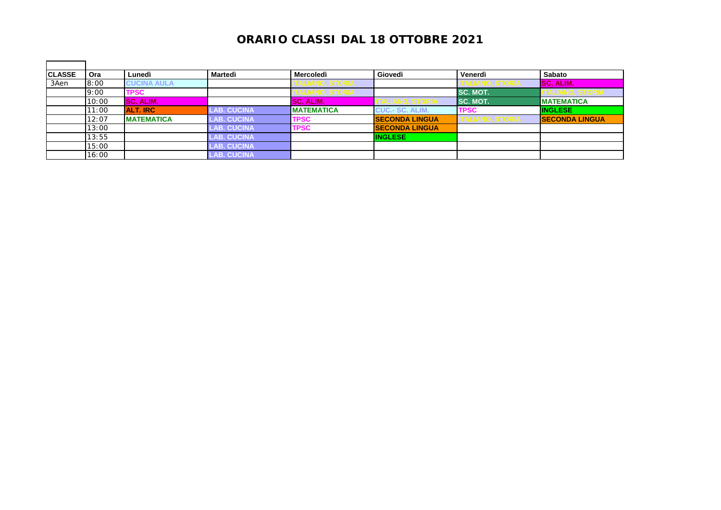| <b>CLASSE</b> | Ora   | Lunedì             | Martedì            | <b>Mercoledì</b>  | Giovedì                | Venerdì         | Sabato                |
|---------------|-------|--------------------|--------------------|-------------------|------------------------|-----------------|-----------------------|
| 3Aen          | 8:00  | <b>CUCINA AULA</b> |                    |                   |                        |                 | <b>SC. ALIM.</b>      |
|               | 9:00  | TPSC               |                    |                   |                        | <b>SC. MOT.</b> |                       |
|               | 10:00 | <b>SC. ALIM.</b>   |                    | SC. ALIM.         |                        | I SC. MOT.      | <b>MATEMATICA</b>     |
|               | 11:00 | <b>ALT. IRC</b>    | <b>LAB. CUCINA</b> | <b>MATEMATICA</b> | <b>CUC.- SC. ALIM.</b> | <b>TPSC</b>     | <b>INGLESE</b>        |
|               | 12:07 | <b>MATEMATICA</b>  | <b>LAB. CUCINA</b> | <b>TPSC</b>       | <b>SECONDA LINGUA</b>  |                 | <b>SECONDA LINGUA</b> |
|               | 13:00 |                    | <b>AB. CUCINA</b>  | <b>TPSC</b>       | <b>SECONDA LINGUA</b>  |                 |                       |
|               | 13:55 |                    | <b>AB. CUCINA</b>  |                   | <b>INGLESE</b>         |                 |                       |
|               | 15:00 |                    | <b>AB. CUCINA</b>  |                   |                        |                 |                       |
|               | 16:00 |                    | <b>LAB. CUCINA</b> |                   |                        |                 |                       |

 $\blacksquare$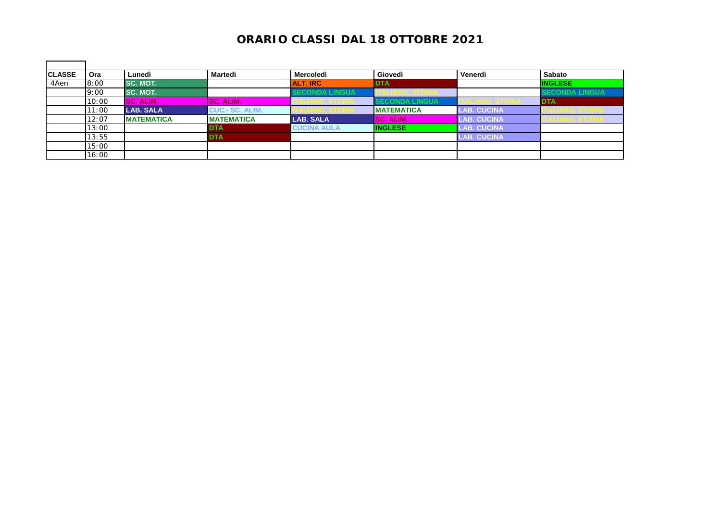| <b>CLASSE</b> | Ora   | Lunedì            | Martedì                | Mercoledì          | Giovedì            | Venerdì            | Sabato                  |
|---------------|-------|-------------------|------------------------|--------------------|--------------------|--------------------|-------------------------|
| 4Aen          | 8:00  | <b>SC. MOT.</b>   |                        | <b>ALT. IRC</b>    | <b>DTA</b>         |                    | <b>INGLESE</b>          |
|               | 9:00  | <b>SC. MOT.</b>   |                        | :UUNDA LINGUA      | TALIANU, ƏTURIA    |                    | <b>SECONDA LINGUA</b>   |
|               | 10:00 | SC. ALIM.         | <b>ISC. ALIM.</b>      | I ALIANV, ƏTVNIA   | ECONDA LINGUA      |                    | <b>DTA</b>              |
|               | 11:00 | <b>LAB. SALA</b>  | <b>CUC.- SC. ALIM.</b> |                    | <b>IMATEMATICA</b> | <b>LAB. CUCINA</b> |                         |
|               | 12:07 | <b>MATEMATICA</b> | <b>IMATEMATICA</b>     | <b>LAB. SALA</b>   | SC. ALIM.          | <b>LAB. CUCINA</b> | <u>I ALIANO, STORIA</u> |
|               | 13:00 |                   | <b>DTA</b>             | <b>CUCINA AULA</b> | <b>INGLESE</b>     | <b>LAB. CUCINA</b> |                         |
|               | 13:55 |                   | <b>DTA</b>             |                    |                    | <b>LAB. CUCINA</b> |                         |
|               | 15:00 |                   |                        |                    |                    |                    |                         |
|               | 16:00 |                   |                        |                    |                    |                    |                         |

 $\blacksquare$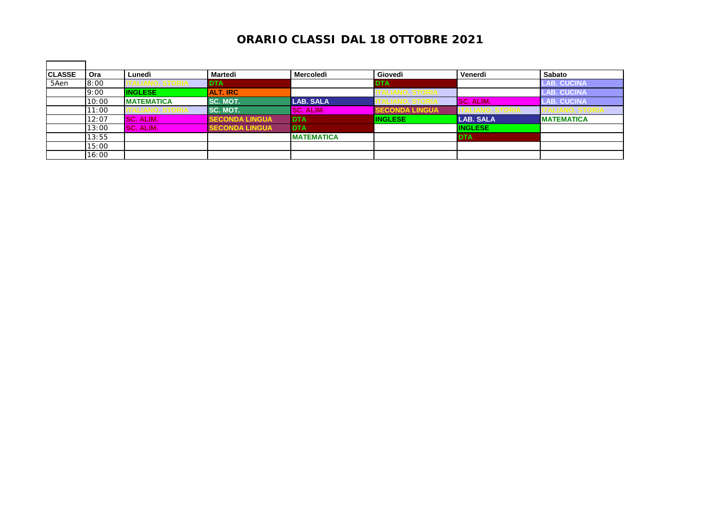| <b>CLASSE</b> | Ora   | Lunedì            | Martedì               | <b>Mercoledì</b>  | Giovedì               | Venerdì          | Sabato             |
|---------------|-------|-------------------|-----------------------|-------------------|-----------------------|------------------|--------------------|
| 5Aen          | 8:00  |                   | <b>DTA</b>            |                   | <b>DTA</b>            |                  | <b>LAB. CUCINA</b> |
|               | 9:00  | <b>INGLESE</b>    | <b>ALT. IRC</b>       |                   |                       |                  | LAB. CUCINA'       |
|               | 10:00 | <b>MATEMATICA</b> | SC. MOT.              | <b>LAB. SALA</b>  | LIANU. ƏTUNIA         | <b>SC. ALIM.</b> | <b>LAB. CUCINA</b> |
|               | 11:00 |                   | <b>SC. MOT.</b>       | <b>SC. ALIM.</b>  | <b>SECONDA LINGUA</b> |                  |                    |
|               | 12:07 | SC. ALIM.         | <b>SECONDA LINGUA</b> | <b>DTA</b>        | <b>INGLESE</b>        | <b>LAB. SALA</b> | <b>MATEMATICA</b>  |
|               | 13:00 | SC. ALIM.         | <b>SECONDA LINGUA</b> | <b>DTA</b>        |                       | <b>INGLESE</b>   |                    |
|               | 13:55 |                   |                       | <b>MATEMATICA</b> |                       | <b>DTA</b>       |                    |
|               | 15:00 |                   |                       |                   |                       |                  |                    |
|               | 16:00 |                   |                       |                   |                       |                  |                    |

 $\blacksquare$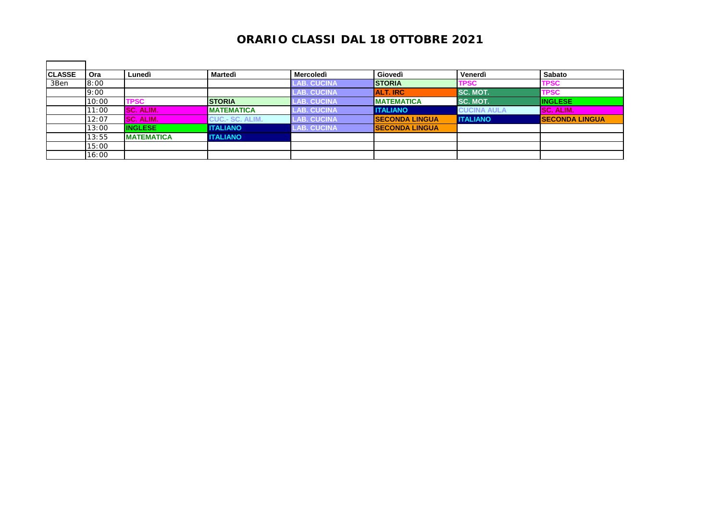| <b>CLASSE</b> | <b>Ora</b> | Lunedì            | Martedì                | <b>Mercoledì</b>   | Giovedì               | Venerdì            | <b>Sabato</b>         |
|---------------|------------|-------------------|------------------------|--------------------|-----------------------|--------------------|-----------------------|
| 3Ben          | 8:00       |                   |                        | <b>LAB. CUCINA</b> | <b>ISTORIA</b>        | <b>TPSC</b>        | <b>TPSC</b>           |
|               | 9:00       |                   |                        | <b>LAB. CUCINA</b> | <b>ALT. IRC</b>       | <b>SC. MOT.</b>    | <b>TPSC</b>           |
|               | 10:00      | <b>TPSC</b>       | <b>STORIA</b>          | <b>LAB. CUCINA</b> | <b>IMATEMATICA</b>    | <b>SC. MOT.</b>    | <b>INGLESE</b>        |
|               | 11:00      | SC. ALIM.         | <b>MATEMATICA</b>      | <b>LAB. CUCINA</b> | <b>IITALIANO</b>      | <b>CUCINA AULA</b> | <b>SC. ALIM.</b>      |
|               | 12:07      | <b>SC. ALIM.</b>  | <b>CUC.- SC. ALIM.</b> | <b>LAB. CUCINA</b> | <b>SECONDA LINGUA</b> | <b>ITALIANO</b>    | <b>SECONDA LINGUA</b> |
|               | 13:00      | <b>INGLESE</b>    | <b>ITALIANO</b>        | <b>LAB. CUCINA</b> | <b>SECONDA LINGUA</b> |                    |                       |
|               | 13:55      | <b>MATEMATICA</b> | <b>ITALIANO</b>        |                    |                       |                    |                       |
|               | 15:00      |                   |                        |                    |                       |                    |                       |
|               | 16:00      |                   |                        |                    |                       |                    |                       |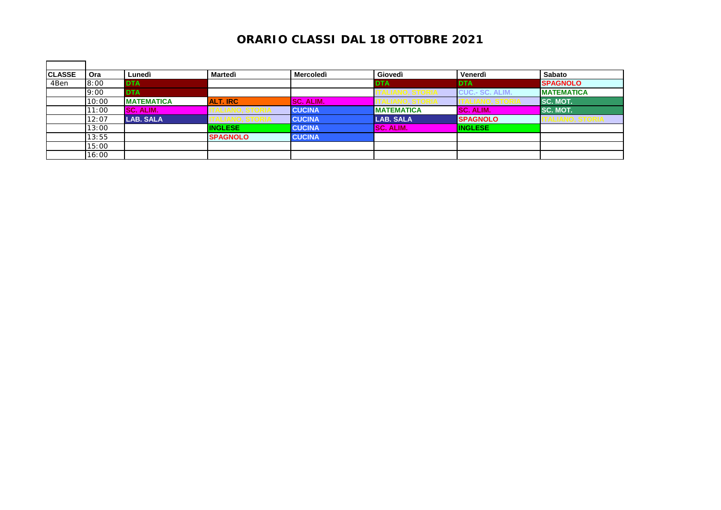| <b>CLASSE</b> | Ora   | Lunedì            | Martedì         | <b>Mercoledì</b> | Giovedì           | Venerdì                | <b>Sabato</b>      |
|---------------|-------|-------------------|-----------------|------------------|-------------------|------------------------|--------------------|
| 4Ben          | 8:00  | <b>DTA</b>        |                 |                  | <b>DTA</b>        | <b>DTA</b>             | <b>SPAGNOLO</b>    |
|               | 9:00  | <b>DTA</b>        |                 |                  |                   | <b>CUC.- SC. ALIM.</b> | <b>IMATEMATICA</b> |
|               | 10:00 | <b>MATEMATICA</b> | <b>ALT. IRC</b> | <b>SC. ALIM.</b> |                   |                        | I SC. MOT.         |
|               | 11:00 | SC. ALIM.         |                 | <b>CUCINA</b>    | <b>MATEMATICA</b> | SC. ALIM.              | SC. MOT.           |
|               | 12:07 | <b>LAB. SALA</b>  |                 | <b>CUCINA</b>    | <b>LAB. SALA</b>  | <b>SPAGNOLO</b>        | ALIANU, STURIA     |
|               | 13:00 |                   | <b>INGLESE</b>  | <b>CUCINA</b>    | <b>SC. ALIM.</b>  | <b>INGLESE</b>         |                    |
|               | 13:55 |                   | <b>SPAGNOLO</b> | <b>CUCINA</b>    |                   |                        |                    |
|               | 15:00 |                   |                 |                  |                   |                        |                    |
|               | 16:00 |                   |                 |                  |                   |                        |                    |

 $\mathbf{r}$ 

h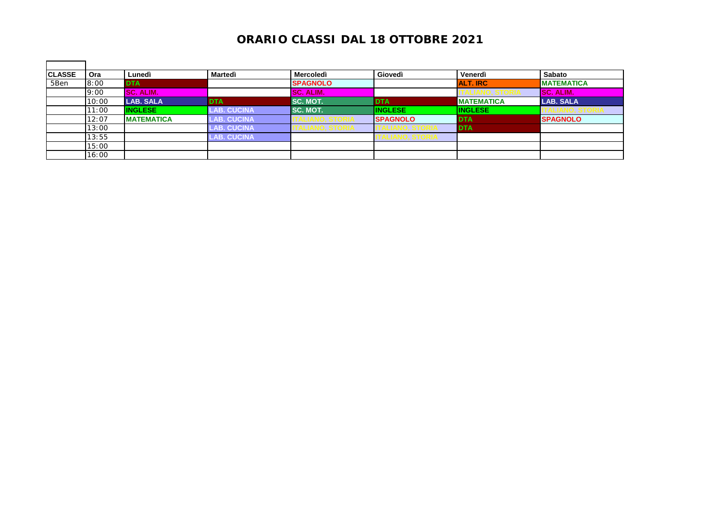| <b>CLASSE</b> | Ora   | Lunedì            | Martedì            | <b>Mercoledì</b> | Giovedì         | Venerdì           | <b>Sabato</b>     |
|---------------|-------|-------------------|--------------------|------------------|-----------------|-------------------|-------------------|
| 5Ben          | 8:00  | <b>DTA</b>        |                    | <b>SPAGNOLO</b>  |                 | <b>ALT. IRC</b>   | <b>MATEMATICA</b> |
|               | 9:00  | SC. ALIM.         |                    | SC. ALIM.        |                 |                   | <b>SC. ALIM.</b>  |
|               | 10:00 | <b>LAB. SALA</b>  | <b>DTA</b>         | SC. MOT.         | <b>DTA</b>      | <b>MATEMATICA</b> | <b>LAB. SALA</b>  |
|               | 11:00 | <b>INGLESE</b>    | <b>LAB. CUCINA</b> | SC. MOT.         | <b>INGLESE</b>  | <b>INGLESE</b>    |                   |
|               | 12:07 | <b>MATEMATICA</b> | <b>LAB. CUCINA</b> |                  | <b>SPAGNOLO</b> | <b>DTA</b>        | <b>SPAGNOLO</b>   |
|               | 13:00 |                   | <b>AB. CUCINA</b>  | 1LIANV, JIVNIA   |                 | <b>DTA</b>        |                   |
|               | 13:55 |                   | <b>LAB. CUCINA</b> |                  |                 |                   |                   |
|               | 15:00 |                   |                    |                  |                 |                   |                   |
|               | 16:00 |                   |                    |                  |                 |                   |                   |

 $\blacksquare$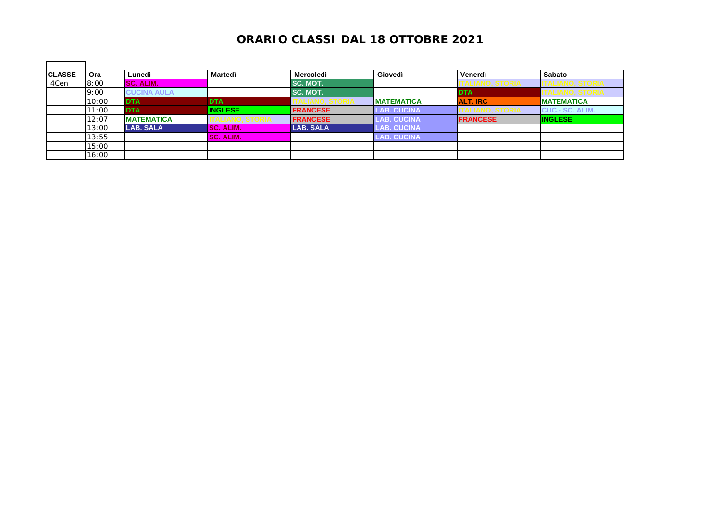| <b>CLASSE</b> | Ora   | Lunedì             | Martedì          | <b>Mercoledì</b> | Giovedì            | Venerdì         | Sabato                 |
|---------------|-------|--------------------|------------------|------------------|--------------------|-----------------|------------------------|
| 4Cen          | 8:00  | SC. ALIM.          |                  | SC. MOT.         |                    | IALIANU, ƏTUNIA |                        |
|               | 9:00  | <b>CUCINA AULA</b> |                  | SC. MOT.         |                    | <b>DTA</b>      |                        |
|               | 10:00 | <b>DTA</b>         | <b>DTA</b>       |                  | <b>IMATEMATICA</b> | <b>ALT. IRC</b> | <b>MATEMATICA</b>      |
|               | 11:00 | <b>DTA</b>         | <b>INGLESE</b>   | <b>FRANCESE</b>  | <b>AB. CUCINA</b>  |                 | <b>CUC.- SC. ALIM.</b> |
|               | 12:07 | <b>MATEMATICA</b>  |                  | <b>FRANCESE</b>  | <b>AB. CUCINA</b>  | <b>FRANCESE</b> | <b>INGLESE</b>         |
|               | 13:00 | <b>LAB. SALA</b>   | <b>SC. ALIM.</b> | <b>LAB. SALA</b> | <b>LAB. CUCINA</b> |                 |                        |
|               | 13:55 |                    | SC. ALIM.        |                  | <b>LAB. CUCINA</b> |                 |                        |
|               | 15:00 |                    |                  |                  |                    |                 |                        |
|               | 16:00 |                    |                  |                  |                    |                 |                        |

 $\blacksquare$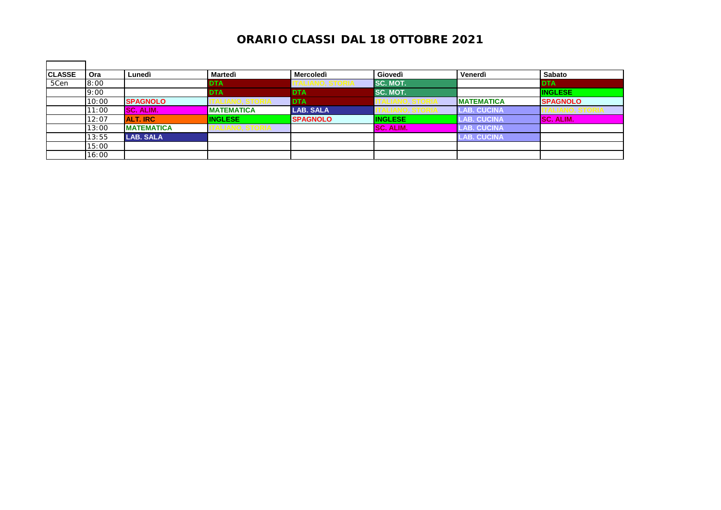| <b>CLASSE</b> | Ora   | Lunedì            | Martedì               | <b>Mercoledì</b> | Giovedì          | Venerdì            | Sabato           |
|---------------|-------|-------------------|-----------------------|------------------|------------------|--------------------|------------------|
| 5Cen          | 8:00  |                   | <b>DTA</b>            | I ALIANU. ƏLUMIA | ISC. MOT.        |                    | <b>DTA</b>       |
|               | 9:00  |                   | <b>DTA</b>            | <b>DTA</b>       | SC. MOT.         |                    | <b>INGLESE</b>   |
|               | 10:00 | <b>SPAGNOLO</b>   |                       | <b>DTA</b>       |                  | <b>IMATEMATICA</b> | <b>SPAGNOLO</b>  |
|               | 11:00 | SC. ALIM.         | <b>MATEMATICA</b>     | <b>LAB. SALA</b> |                  | <b>LAB. CUCINA</b> |                  |
|               | 12:07 | <b>ALT. IRC</b>   | <b>INGLESE</b>        | <b>SPAGNOLO</b>  | <b>INGLESE</b>   | <b>LAB. CUCINA</b> | <b>SC. ALIM.</b> |
|               | 13:00 | <b>MATEMATICA</b> | <b>ALIANV, STUNIA</b> |                  | <b>SC. ALIM.</b> | <b>LAB. CUCINA</b> |                  |
|               | 13:55 | <b>LAB. SALA</b>  |                       |                  |                  | <b>LAB. CUCINA</b> |                  |
|               | 15:00 |                   |                       |                  |                  |                    |                  |
|               | 16:00 |                   |                       |                  |                  |                    |                  |

 $\blacksquare$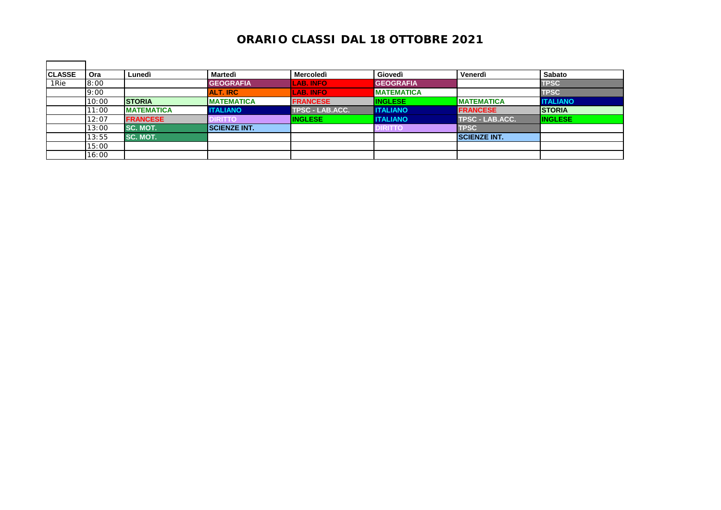| <b>CLASSE</b> | Ora   | Lunedì            | Martedì             | <b>Mercoledì</b> | Giovedì           | Venerdì                | <b>Sabato</b>   |
|---------------|-------|-------------------|---------------------|------------------|-------------------|------------------------|-----------------|
| 1Rie          | 8:00  |                   | <b>GEOGRAFIA</b>    | <b>LAB. INFO</b> | <b>GEOGRAFIA</b>  |                        | TPSC            |
|               | 9:00  |                   | <b>ALT. IRC</b>     | <b>LAB. INFO</b> | <b>MATEMATICA</b> |                        | TPSC            |
|               | 10:00 | <b>STORIA</b>     | <b>IMATEMATICA</b>  | <b>FRANCESE</b>  | <b>INGLESE</b>    | <b>MATEMATICA</b>      | <b>ITALIANO</b> |
|               | 11:00 | <b>MATEMATICA</b> | <b>ITALIANO</b>     | TPSC - LAB.ACC.  | <b>I ITALIANO</b> | <b>FRANCESE</b>        | <b>STORIA</b>   |
|               | 12:07 | <b>FRANCESE</b>   | DIRITTO             | <b>INGLESE</b>   | <b>ITALIANO</b>   | <b>TPSC - LAB.ACC.</b> | <b>INGLESE</b>  |
|               | 13:00 | <b>SC. MOT.</b>   | <b>SCIENZE INT.</b> |                  | <b>DIRITTO</b>    | <b>TPSC</b>            |                 |
|               | 13:55 | <b>SC. MOT.</b>   |                     |                  |                   | <b>SCIENZE INT.</b>    |                 |
|               | 15:00 |                   |                     |                  |                   |                        |                 |
|               | 16:00 |                   |                     |                  |                   |                        |                 |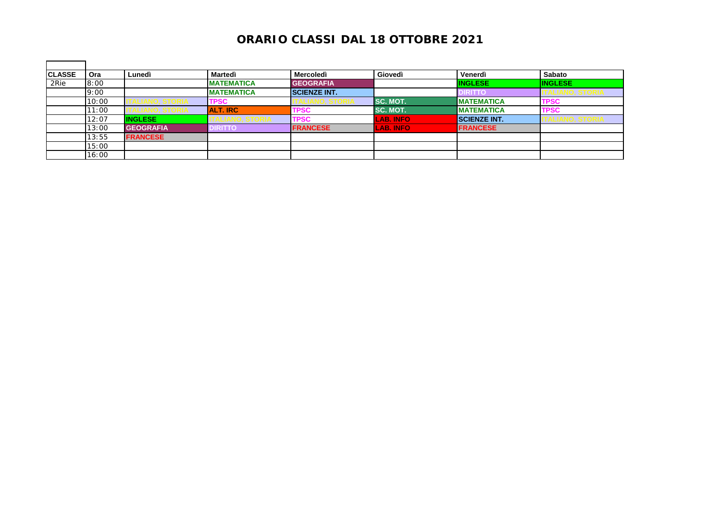| <b>CLASSE</b> | Ora   | Lunedì           | Martedì           | <b>Mercoledì</b>    | Giovedì          | Venerdì             | <b>Sabato</b>  |
|---------------|-------|------------------|-------------------|---------------------|------------------|---------------------|----------------|
| 2Rie          | 8:00  |                  | <b>MATEMATICA</b> | <b>GEOGRAFIA</b>    |                  | <b>INGLESE</b>      | <b>INGLESE</b> |
|               | 9:00  |                  | <b>MATEMATICA</b> | <b>SCIENZE INT.</b> |                  | <b>IRITTO</b>       | LIANU, STURIA  |
|               | 10:00 | LIANU. ƏTURIA    | <b>TPSC</b>       |                     | ISC. MOT.        | <b>MATEMATICA</b>   | <b>TPSC</b>    |
|               | 11:00 |                  | <b>ALT. IRC</b>   | <b>TPSC</b>         | SC. MOT.         | <b>MATEMATICA</b>   | <b>TPSC</b>    |
|               | 12:07 | <b>INGLESE</b>   |                   | <b>TPSC</b>         | <b>LAB. INFO</b> | <b>SCIENZE INT.</b> | ALIANO, STORIA |
|               | 13:00 | <b>GEOGRAFIA</b> | DIRITTO           | <b>FRANCESE</b>     | <b>LAB. INFO</b> | <b>FRANCESE</b>     |                |
|               | 13:55 | <b>FRANCESE</b>  |                   |                     |                  |                     |                |
|               | 15:00 |                  |                   |                     |                  |                     |                |
|               | 16:00 |                  |                   |                     |                  |                     |                |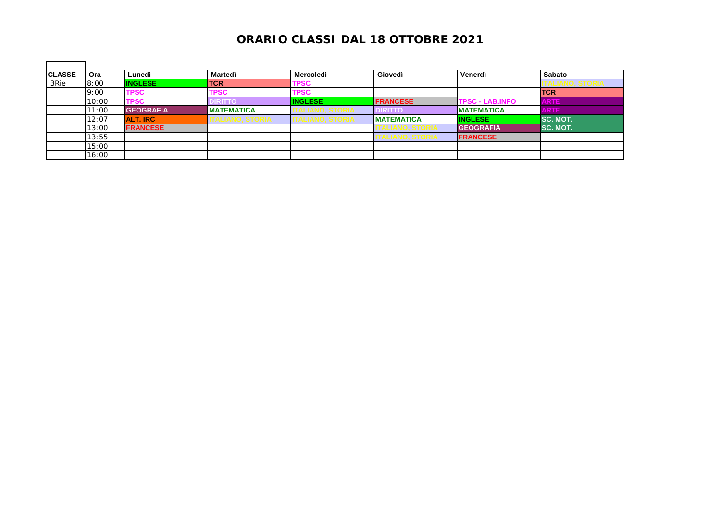| <b>CLASSE</b> | <b>Ora</b> | Lunedì           | Martedì           | Mercoledì      | Giovedì           | Venerdì                | Sabato          |
|---------------|------------|------------------|-------------------|----------------|-------------------|------------------------|-----------------|
| 3Rie          | 8:00       | <b>INGLESE</b>   | <b>TCR</b>        | <b>TPSC</b>    |                   |                        |                 |
|               | 9:00       | <b>TPSC</b>      | <b>TPSC</b>       | <b>TPSC</b>    |                   |                        | <b>TCR</b>      |
|               | 10:00      | TPSC             | <b>DIRITTO</b>    | <b>INGLESE</b> | <b>FRANCESE</b>   | <b>TPSC - LAB.INFO</b> | <b>ARTE</b>     |
|               | 11:00      | <b>GEOGRAFIA</b> | <b>MATEMATICA</b> |                | DIRITTC           | <b>IMATEMATICA</b>     | <b>ARTE</b>     |
|               | 12:07      | <b>ALT. IRC</b>  | IALIANU, ƏTUNIA   |                | <b>MATEMATICA</b> | <b>INGLESE</b>         | <b>SC. MOT.</b> |
|               | 13:00      | <b>FRANCESE</b>  |                   |                |                   | <b>GEOGRAFIA</b>       | SC. MOT.        |
|               | 13:55      |                  |                   |                |                   | <b>FRANCESE</b>        |                 |
|               | 15:00      |                  |                   |                |                   |                        |                 |
|               | 16:00      |                  |                   |                |                   |                        |                 |

 $\blacksquare$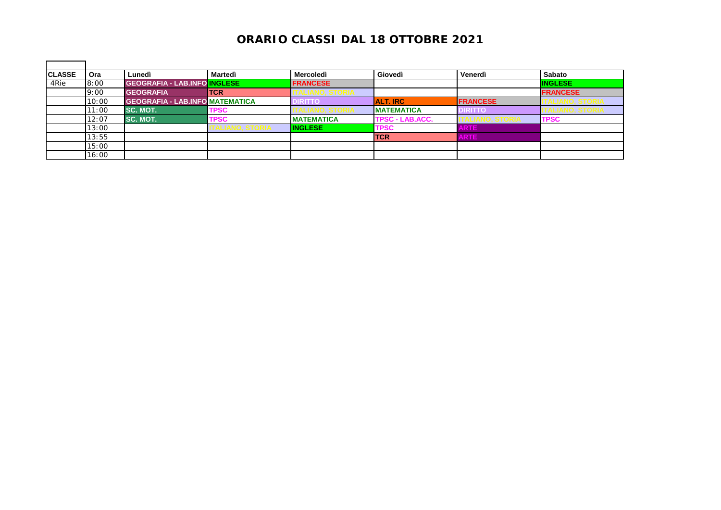| <b>CLASSE</b> | Ora   | Lunedì                                 | Martedì     | <b>Mercoledì</b>  | Giovedì                | Venerdì         | Sabato          |
|---------------|-------|----------------------------------------|-------------|-------------------|------------------------|-----------------|-----------------|
| 4Rie          | 8:00  | <b>GEOGRAFIA - LAB.INFO INGLESE</b>    |             | <b>FRANCESE</b>   |                        |                 | <b>INGLESE</b>  |
|               | 9:00  | <b>GEOGRAFIA</b>                       | <b>TCR</b>  | ANU, JIUNIA       |                        |                 | <b>FRANCESE</b> |
|               | 10:00 | <b>GEOGRAFIA - LAB.INFO MATEMATICA</b> |             | IRITTO            | <b>ALT. IRC</b>        | <b>FRANCESE</b> |                 |
|               | 11:00 | <b>SC. MOT.</b>                        | <b>TPSC</b> |                   | <b>IMATEMATICA</b>     | <b>DIRITTO</b>  |                 |
|               | 12:07 | <b>SC. MOT.</b>                        | <b>TPSC</b> | <b>MATEMATICA</b> | <b>TPSC - LAB.ACC.</b> |                 | <b>TPSC</b>     |
|               | 13:00 |                                        |             | <b>INGLESE</b>    | <b>TPSC</b>            | <b>ARTE</b>     |                 |
|               | 13:55 |                                        |             |                   | <b>TCR</b>             | <b>ARTE</b>     |                 |
|               | 15:00 |                                        |             |                   |                        |                 |                 |
|               | 16:00 |                                        |             |                   |                        |                 |                 |

 $\blacksquare$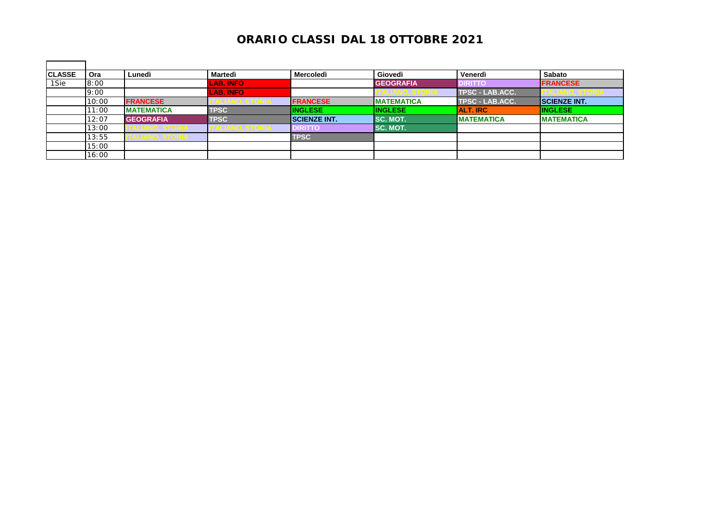| <b>CLASSE</b> | Ora   | Lunedì             | Martedì          | Mercoledì           | Giovedì            | Venerdì                | Sabato               |
|---------------|-------|--------------------|------------------|---------------------|--------------------|------------------------|----------------------|
| 1Sie          | 8:00  |                    | <b>LAB. INFO</b> |                     | <b>GEOGRAFIA</b>   | <b>DIRITTO</b>         | <b>FRANCESE</b>      |
|               | 9:00  |                    | <b>LAB. INFO</b> |                     |                    | <b>TPSC - LAB.ACC.</b> |                      |
|               | 10:00 | <b>FRANCESE</b>    |                  | <b>FRANCESE</b>     | <b>IMATEMATICA</b> | <b>TPSC - LAB.ACC.</b> | <b>ISCIENZE INT.</b> |
|               | 11:00 | <b>MATEMATICA</b>  | <b>TPSC</b>      | <b>INGLESE</b>      | <b>INGLESE</b>     | <b>ALT. IRC</b>        | <b>INGLESE</b>       |
|               | 12:07 | <b>GEOGRAFIA</b>   | <b>TPSC</b>      | <b>SCIENZE INT.</b> | <b>ISC. MOT.</b>   | <b>IMATEMATICA</b>     | <b>IMATEMATICA</b>   |
|               | 13:00 |                    |                  | <b>IRITTO</b>       | <b>ISC. MOT.</b>   |                        |                      |
|               | 13:55 | I ALIANU, Ə I UKIA |                  | TPSC                |                    |                        |                      |
|               | 15:00 |                    |                  |                     |                    |                        |                      |
|               | 16:00 |                    |                  |                     |                    |                        |                      |

 $\blacksquare$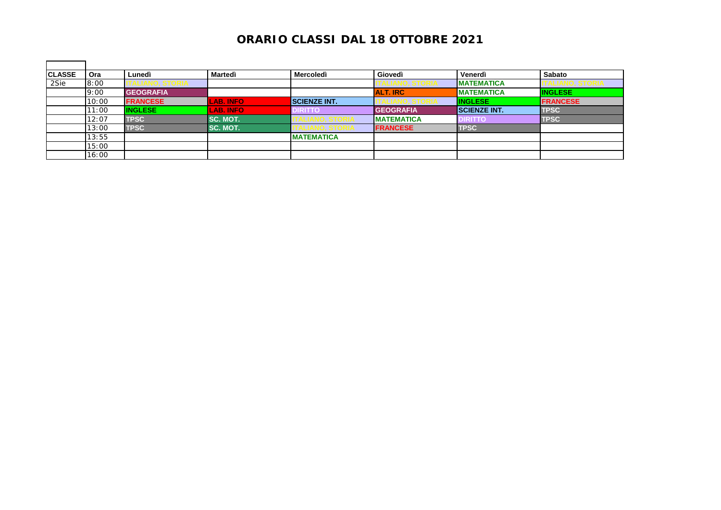| <b>CLASSE</b> | <b>Ora</b> | Lunedì             | <b>Martedì</b>   | Mercoledì           | Giovedì           | Venerdì              | Sabato          |
|---------------|------------|--------------------|------------------|---------------------|-------------------|----------------------|-----------------|
| 2Sie          | 8:00       | <b>INU, JIUNIA</b> |                  |                     |                   | <b>IMATEMATICA</b>   |                 |
|               | 9:00       | <b>GEOGRAFIA</b>   |                  |                     | <b>ALT. IRC</b>   | <b>MATEMATICA</b>    | <b>INGLESE</b>  |
|               | 10:00      | <b>FRANCESE</b>    | <b>LAB. INFO</b> | <b>SCIENZE INT.</b> |                   | <b>INGLESE</b>       | <b>FRANCESE</b> |
|               | 11:00      | <b>INGLESE</b>     | <b>LAB. INFO</b> | <b>DIRITTO</b>      | <b>GEOGRAFIA</b>  | <b>ISCIENZE INT.</b> | <b>TPSC</b>     |
|               | 12:07      | <b>TPSC</b>        | <b>SC. MOT.</b>  |                     | <b>MATEMATICA</b> | <b>DIRITTO</b>       | <b>TPSC</b>     |
|               | 13:00      | <b>TPSC</b>        | <b>SC. MOT.</b>  |                     | <b>FRANCESE</b>   | <b>TPSC</b>          |                 |
|               | 13:55      |                    |                  | <b>MATEMATICA</b>   |                   |                      |                 |
|               | 15:00      |                    |                  |                     |                   |                      |                 |
|               | 16:00      |                    |                  |                     |                   |                      |                 |

 $\blacksquare$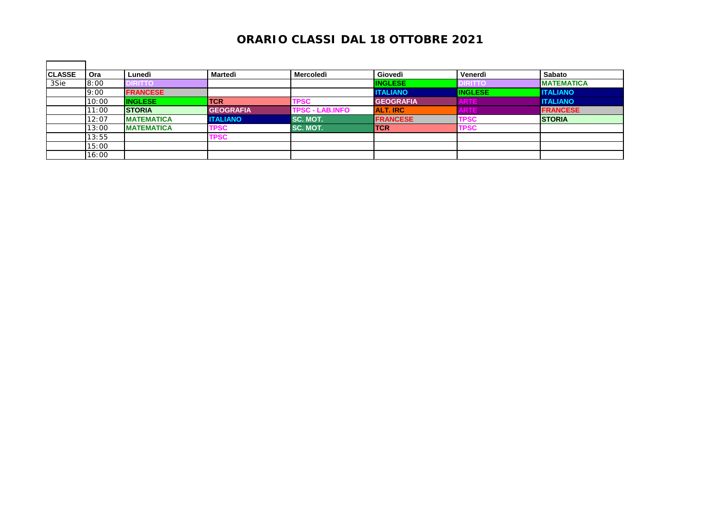| <b>CLASSE</b> | Ora   | Lunedì            | Martedì          | <b>Mercoledì</b>       | Giovedì          | Venerdì        | <b>Sabato</b>     |
|---------------|-------|-------------------|------------------|------------------------|------------------|----------------|-------------------|
| 3Sie          | 8:00  | <b>DIRITTO</b>    |                  |                        | <b>INGLESE</b>   | <b>DIRITTO</b> | <b>MATEMATICA</b> |
|               | 9:00  | <b>FRANCESE</b>   |                  |                        | <b>ITALIANO</b>  | <b>INGLESE</b> | <b>ITALIANO</b>   |
|               | 10:00 | <b>INGLESE</b>    | <b>TCR</b>       | <b>TPSC</b>            | <b>GEOGRAFIA</b> | <b>ARTE</b>    | <b>ITALIANO</b>   |
|               | 11:00 | <b>STORIA</b>     | <b>GEOGRAFIA</b> | <b>TPSC - LAB.INFO</b> | <b>ALT. IRC</b>  | <b>ARTE</b>    | <b>FRANCESE</b>   |
|               | 12:07 | <b>MATEMATICA</b> | <b>ITALIANO</b>  | SC. MOT.               | <b>FRANCESE</b>  | <b>TPSC</b>    | <b>STORIA</b>     |
|               | 13:00 | <b>MATEMATICA</b> | <b>TPSC</b>      | SC. MOT.               | <b>TCR</b>       | <b>TPSC</b>    |                   |
|               | 13:55 |                   | <b>TPSC</b>      |                        |                  |                |                   |
|               | 15:00 |                   |                  |                        |                  |                |                   |
|               | 16:00 |                   |                  |                        |                  |                |                   |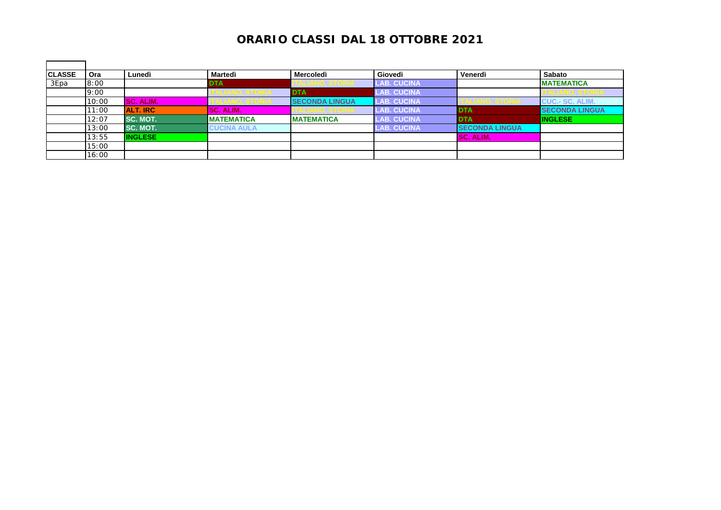| <b>CLASSE</b> | Ora   | Lunedì          | Martedì                | Mercoledì              | Giovedì            | Venerdì                | Sabato                 |
|---------------|-------|-----------------|------------------------|------------------------|--------------------|------------------------|------------------------|
| 3Epa          | 8:00  |                 | <b>DTA</b>             | <b>IALIANU, ƏIUNIA</b> | <b>LAB. CUCINA</b> |                        | <b>IMATEMATICA</b>     |
|               | 9:00  |                 | ALIANU, JTUNIA         | <b>IDTA</b>            | <b>LAB. CUCINA</b> |                        | LIANU, ƏTURIA          |
|               | 10:00 | SC. ALIM.       | <u>IALIANU, ƏTUNIA</u> | <b>SECONDA LINGUA</b>  | <b>LAB. CUCINA</b> | ANO, STURIA            | <b>CUC.- SC. ALIM.</b> |
|               | 11:00 | <b>ALT. IRC</b> | <b>SC. ALIM.</b>       |                        | <b>LAB. CUCINA</b> | <b>DTA</b>             | <b>SECONDA LINGUA</b>  |
|               | 12:07 | <b>SC. MOT.</b> | <b>MATEMATICA</b>      | <b>MATEMATICA</b>      | <b>LAB. CUCINA</b> | <b>DTA</b>             | <b>INGLESE</b>         |
|               | 13:00 | <b>SC. MOT.</b> | <b>CUCINA AULA</b>     |                        | <b>LAB. CUCINA</b> | <b>ISECONDA LINGUA</b> |                        |
|               | 13:55 | <b>INGLESE</b>  |                        |                        |                    | <b>SC. ALIM.</b>       |                        |
|               | 15:00 |                 |                        |                        |                    |                        |                        |
|               | 16:00 |                 |                        |                        |                    |                        |                        |

 $\blacksquare$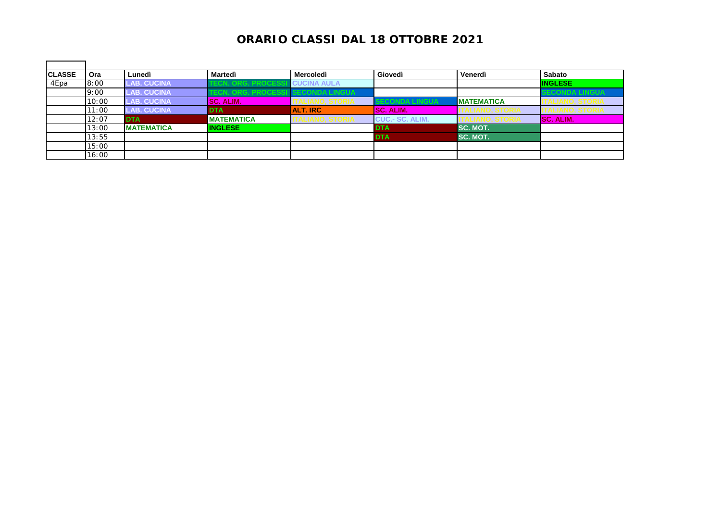| <b>CLASSE</b> | Ora   | Lunedì             | Martedì                  | Mercoledì              | Giovedì                | Venerdì           | Sabato               |
|---------------|-------|--------------------|--------------------------|------------------------|------------------------|-------------------|----------------------|
| 4Epa          | 8:00  | <b>LAB. CUCINA</b> | CN. ORG. PROCESS         | <b>CUCINA AULA</b>     |                        |                   | <b>INGLESE</b>       |
|               | 9:00  | <b>LAB. CUCINA</b> | <b>ECN. ORG. PROCESS</b> | <b>SECONDA LINGUA</b>  |                        |                   | <b>ECONDA LINGUA</b> |
|               | 10:00 | <b>LAB. CUCINA</b> | <b>SC. ALIM.</b>         | <u>IALIANU, JIUNIA</u> | JNDA LINGUA            | <b>MATEMATICA</b> | ALIANU, ƏTUNIA       |
|               | 11:00 | <b>LAB. CUCINA</b> | <b>DTA</b>               | <b>ALT. IRC</b>        | <b>ISC. ALIM.</b>      | I ALIANU, ƏTURIA  | LIANU, ƏTUNIA        |
|               | 12:07 | <b>DTA</b>         | <b>MATEMATICA</b>        | I ALIANO, STORIA       | <b>CUC.- SC. ALIM.</b> |                   | <b>SC. ALIM.</b>     |
|               | 13:00 | <b>MATEMATICA</b>  | <b>INGLESE</b>           |                        | <b>DTA</b>             | SC. MOT.          |                      |
|               | 13:55 |                    |                          |                        | <b>DTA</b>             | SC. MOT.          |                      |
|               | 15:00 |                    |                          |                        |                        |                   |                      |
|               | 16:00 |                    |                          |                        |                        |                   |                      |

 $\blacksquare$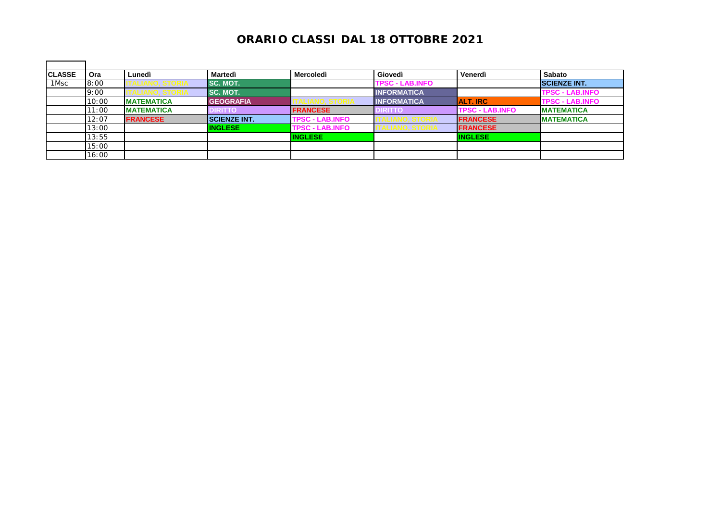| <b>CLASSE</b> | Ora   | Lunedì             | Martedì              | <b>Mercoledì</b>       | Giovedì                | Venerdì                | Sabato                 |
|---------------|-------|--------------------|----------------------|------------------------|------------------------|------------------------|------------------------|
| 1Msc          | 8:00  |                    | <b>SC. MOT.</b>      |                        | <b>TPSC - LAB.INFO</b> |                        | <b>SCIENZE INT.</b>    |
|               | 9:00  |                    | <b>SC. MOT.</b>      |                        | <b>INFORMATICA</b>     |                        | <b>TPSC - LAB.INFO</b> |
|               | 10:00 | <b>IMATEMATICA</b> | <b>GEOGRAFIA</b>     |                        | <b>INFORMATICA</b>     | <b>ALT. IRC</b>        | <b>TPSC - LAB.INFO</b> |
|               | 11:00 | <b>MATEMATICA</b>  | <b>DIRITTO</b>       | <b>FRANCESE</b>        | <b>IRITTO</b>          | <b>TPSC - LAB.INFO</b> | <b>IMATEMATICA</b>     |
|               | 12:07 | <b>FRANCESE</b>    | <b>ISCIENZE INT.</b> | <b>TPSC - LAB.INFO</b> |                        | <b>FRANCESE</b>        | <b>IMATEMATICA</b>     |
|               | 13:00 |                    | <b>INGLESE</b>       | <b>TPSC - LAB.INFO</b> |                        | <b>FRANCESE</b>        |                        |
|               | 13:55 |                    |                      | <b>INGLESE</b>         |                        | <b>INGLESE</b>         |                        |
|               | 15:00 |                    |                      |                        |                        |                        |                        |
|               | 16:00 |                    |                      |                        |                        |                        |                        |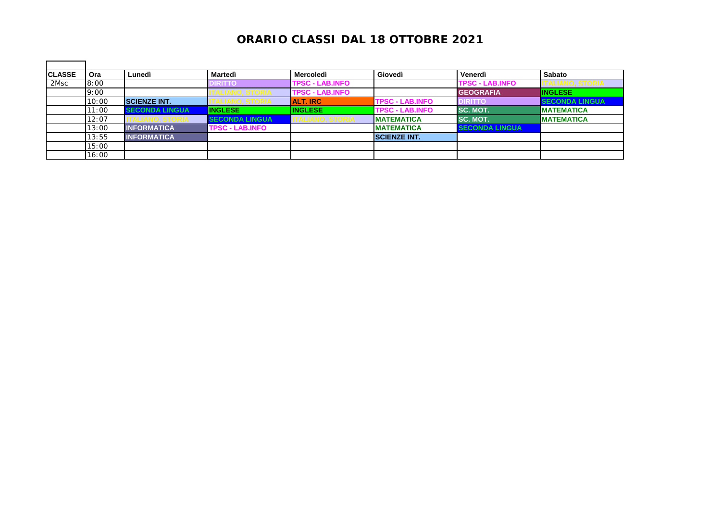| <b>CLASSE</b> | <b>Ora</b> | Lunedì                | Martedì                | Mercoledì              | Giovedì                | Venerdì                | Sabato                |
|---------------|------------|-----------------------|------------------------|------------------------|------------------------|------------------------|-----------------------|
| 2Msc          | 8:00       |                       | <b>DIRITTO</b>         | <b>TPSC - LAB.INFO</b> |                        | <b>TPSC - LAB.INFO</b> |                       |
|               | 9:00       |                       |                        | <b>TPSC - LAB.INFO</b> |                        | <b>GEOGRAFIA</b>       | <b>INGLESE</b>        |
|               | 10:00      | <b>SCIENZE INT.</b>   |                        | <b>ALT. IRC</b>        | <b>TPSC - LAB.INFO</b> | <b>DIRITTO</b>         | <b>SECONDA LINGUA</b> |
|               | 11:00      | <b>SECONDA LINGUA</b> | <b>INGLESE</b>         | <b>INGLESE</b>         | <b>TPSC - LAB.INFO</b> | <b>SC. MOT.</b>        | <b>MATEMATICA</b>     |
|               | 12:07      |                       | <b>SECONDA LINGUA</b>  | TALIANO, STORIA        | <b>IMATEMATICA</b>     | <b>SC. MOT.</b>        | <b>MATEMATICA</b>     |
|               | 13:00      | <b>INFORMATICA</b>    | <b>TPSC - LAB.INFO</b> |                        | <b>MATEMATICA</b>      | <b>SECONDA LINGUA</b>  |                       |
|               | 13:55      | <b>INFORMATICA</b>    |                        |                        | <b>SCIENZE INT.</b>    |                        |                       |
|               | 15:00      |                       |                        |                        |                        |                        |                       |
|               | 16:00      |                       |                        |                        |                        |                        |                       |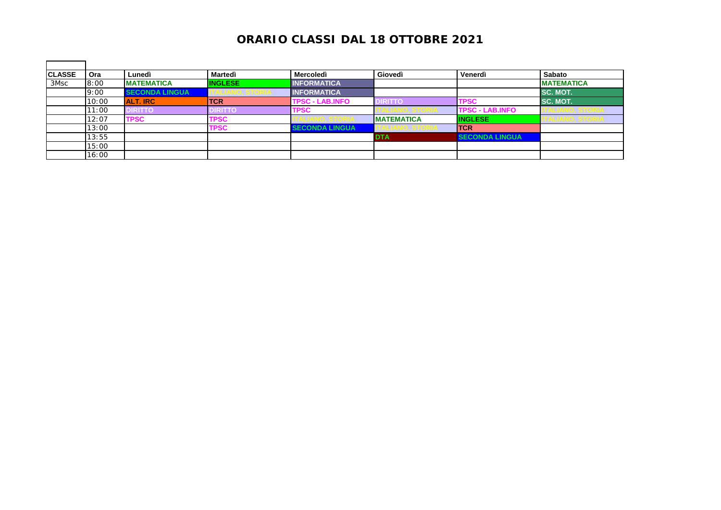| <b>CLASSE</b> | Ora   | Lunedì                | Martedì        | <b>Mercoledì</b>       | Giovedì              | Venerdì                | <b>Sabato</b>          |
|---------------|-------|-----------------------|----------------|------------------------|----------------------|------------------------|------------------------|
| 3Msc          | 8:00  | <b>MATEMATICA</b>     | <b>INGLESE</b> | <b>INFORMATICA</b>     |                      |                        | <b>MATEMATICA</b>      |
|               | 9:00  | <b>SECONDA LINGUA</b> |                | <b>INFORMATICA</b>     |                      |                        | <b>SC. MOT.</b>        |
|               | 10:00 | <b>ALT. IRC</b>       | <b>TCR</b>     | <b>TPSC - LAB.INFO</b> | IRITTO               | <b>TPSC</b>            | <b>SC. MOT.</b>        |
|               | 11:00 | <b>DIRITTO</b>        | <b>DIRITTO</b> | TPSC                   |                      | <b>TPSC - LAB.INFO</b> | I ALIANO, S I OKIA     |
|               | 12:07 | <b>TPSC</b>           | <b>TPSC</b>    |                        | <b>IMATEMATICA</b>   | <b>INGLESE</b>         | <u>IALIANU, JIUNIA</u> |
|               | 13:00 |                       | <b>TPSC</b>    | <b>SECONDA LINGUA</b>  | I I ALIANU, Ə I UKIA | <b>ITCR</b>            |                        |
|               | 13:55 |                       |                |                        | <b>DTA</b>           | <b>SECONDA LINGUA</b>  |                        |
|               | 15:00 |                       |                |                        |                      |                        |                        |
|               | 16:00 |                       |                |                        |                      |                        |                        |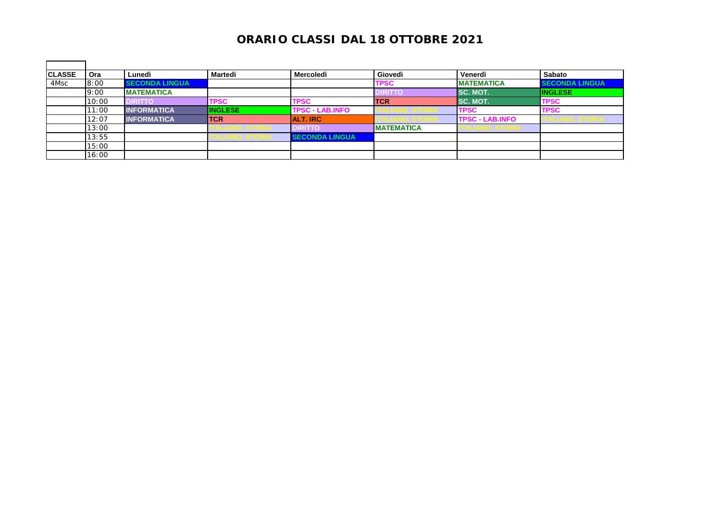| <b>CLASSE</b> | Ora   | Lunedì                | Martedì         | <b>Mercoledì</b>       | Giovedì            | Venerdì                | Sabato                |
|---------------|-------|-----------------------|-----------------|------------------------|--------------------|------------------------|-----------------------|
| 4Msc          | 8:00  | <b>SECONDA LINGUA</b> |                 |                        | TPSC               | <b>IMATEMATICA</b>     | <b>SECONDA LINGUA</b> |
|               | 9:00  | <b>MATEMATICA</b>     |                 |                        | <b>IRITTO</b>      | <b>ISC. MOT.</b>       | <b>INGLESE</b>        |
|               | 10:00 | <b>DIRITTO</b>        | <b>TPSC</b>     | <b>TPSC</b>            | <b>ITCR</b>        | <b>SC. MOT.</b>        | <b>TPSC</b>           |
|               | 11:00 | <b>INFORMATICA</b>    | <b>INGLESE</b>  | <b>TPSC - LAB.INFO</b> |                    | <b>TPSC</b>            | <b>TPSC</b>           |
|               | 12:07 | <b>INFORMATICA</b>    | <b>TCR</b>      | <b>ALT. IRC</b>        |                    | <b>TPSC - LAB.INFO</b> | <b>ALIANU, STURIA</b> |
|               | 13:00 |                       |                 | <b>IRITTO</b>          | <b>IMATEMATICA</b> | LIANV, ƏTVNIA          |                       |
|               | 13:55 |                       | ALIANU, UTVINI- | <b>SECONDA LINGUA</b>  |                    |                        |                       |
|               | 15:00 |                       |                 |                        |                    |                        |                       |
|               | 16:00 |                       |                 |                        |                    |                        |                       |

 $\blacksquare$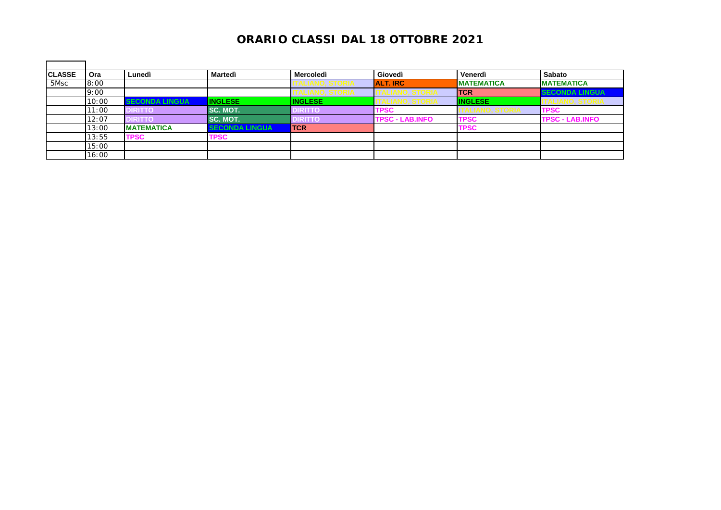| <b>CLASSE</b> | <b>Ora</b> | Lunedì                | Martedì               | <b>Mercoledì</b> | Giovedì                | Venerdì           | Sabato                 |
|---------------|------------|-----------------------|-----------------------|------------------|------------------------|-------------------|------------------------|
| 5Msc          | 8:00       |                       |                       | ILIANU, ƏTUKIA   | <b>ALT. IRC</b>        | <b>MATEMATICA</b> | <b>MATEMATICA</b>      |
|               | 9:00       |                       |                       | ANU, JIUNIA      |                        | <b>ITCR</b>       | <b>SECONDA LINGUA</b>  |
|               | 10:00      | <b>SECONDA LINGUA</b> | <b>INGLESE</b>        | <b>INGLESE</b>   |                        | <b>INGLESE</b>    | ALIANU, JTUNA          |
|               | 11:00      | <b>DIRITTO</b>        | <b>SC. MOT.</b>       | <b>DIRITTO</b>   | <b>TPSC</b>            |                   | <b>TPSC</b>            |
|               | 12:07      | <b>DIRITTO</b>        | <b>ISC. MOT.</b>      | <b>DIRITTO</b>   | <b>TPSC - LAB.INFO</b> | <b>TPSC</b>       | <b>TPSC - LAB.INFO</b> |
|               | 13:00      | <b>MATEMATICA</b>     | <b>SECONDA LINGUA</b> | <b>ITCR</b>      |                        | <b>TPSC</b>       |                        |
|               | 13:55      | TPSC                  | <b>TPSC</b>           |                  |                        |                   |                        |
|               | 15:00      |                       |                       |                  |                        |                   |                        |
|               | 16:00      |                       |                       |                  |                        |                   |                        |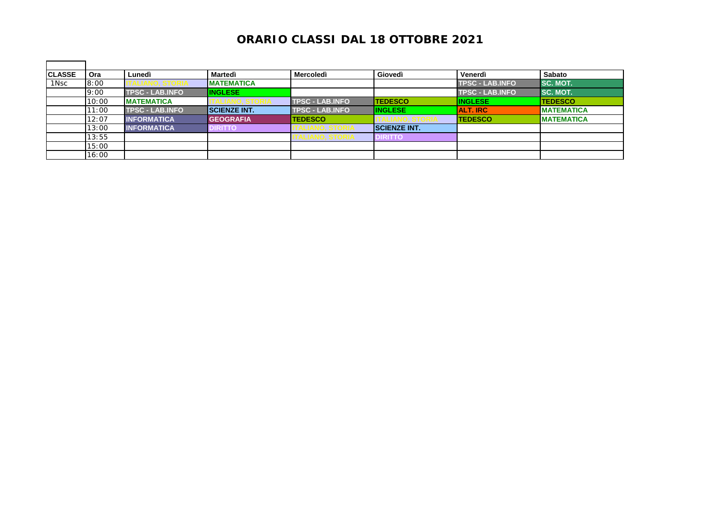| <b>CLASSE</b> | Ora   | Lunedì                 | Martedì             | <b>Mercoledì</b>       | Giovedì              | Venerdì                | <b>Sabato</b>     |
|---------------|-------|------------------------|---------------------|------------------------|----------------------|------------------------|-------------------|
| 1Nsc          | 8:00  |                        | <b>IMATEMATICA</b>  |                        |                      | <b>TPSC - LAB.INFO</b> | <b>SC. MOT.</b>   |
|               | 9:00  | <b>TPSC - LAB.INFO</b> | <b>INGLESE</b>      |                        |                      | <b>TPSC - LAB.INFO</b> | <b>SC. MOT.</b>   |
|               | 10:00 | <b>MATEMATICA</b>      |                     | <b>TPSC - LAB.INFO</b> | <b>TEDESCO</b>       | <b>INGLESE</b>         | <b>TEDESCO</b>    |
|               | 11:00 | <b>TPSC - LAB.INFO</b> | <b>SCIENZE INT.</b> | <b>TPSC - LAB.INFO</b> | <b>INGLESE</b>       | <b>ALT. IRC</b>        | <b>MATEMATICA</b> |
|               | 12:07 | <b>INFORMATICA</b>     | <b>GEOGRAFIA</b>    | <b>TEDESCO</b>         |                      | <b>TEDESCO</b>         | <b>MATEMATICA</b> |
|               | 13:00 | <b>INFORMATICA</b>     | <b>DIRITTO</b>      |                        | <b>ISCIENZE INT.</b> |                        |                   |
|               | 13:55 |                        |                     |                        | <b>DIRITTO</b>       |                        |                   |
|               | 15:00 |                        |                     |                        |                      |                        |                   |
|               | 16:00 |                        |                     |                        |                      |                        |                   |

 $\blacksquare$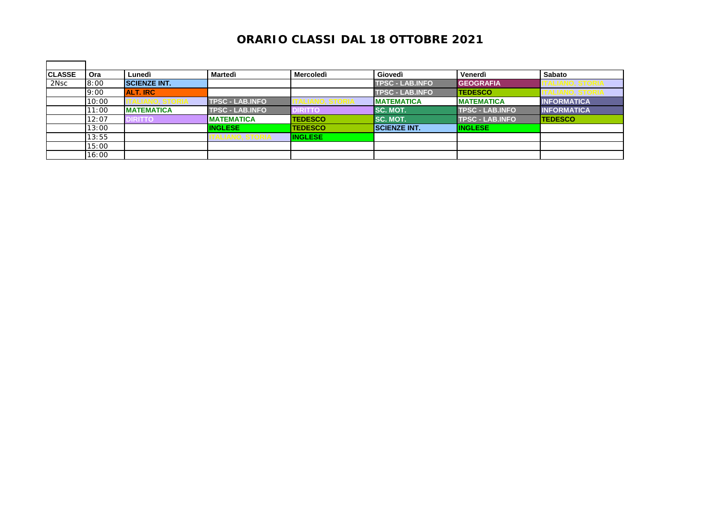| <b>CLASSE</b> | <b>Ora</b> | Lunedì              | Martedì                | Mercoledì      | Giovedì                | Venerdì                | Sabato             |
|---------------|------------|---------------------|------------------------|----------------|------------------------|------------------------|--------------------|
| 2Nsc          | 8:00       | <b>SCIENZE INT.</b> |                        |                | <b>TPSC - LAB.INFO</b> | <b>GEOGRAFIA</b>       |                    |
|               | 9:00       | <b>ALT. IRC</b>     |                        |                | <b>TPSC - LAB.INFO</b> | <b>TEDESCO</b>         |                    |
|               | 10:00      |                     | <b>TPSC - LAB.INFO</b> |                | <b>MATEMATICA</b>      | <b>MATEMATICA</b>      | <b>INFORMATICA</b> |
|               | 11:00      | <b>MATEMATICA</b>   | <b>TPSC - LAB.INFO</b> | <b>DIRITTO</b> | <b>ISC. MOT.</b>       | <b>TPSC - LAB.INFO</b> | <b>INFORMATICA</b> |
|               | 12:07      | <b>DIRITTO</b>      | <b>IMATEMATICA</b>     | <b>TEDESCO</b> | <b>SC. MOT.</b>        | <b>TPSC - LAB.INFO</b> | <b>TEDESCO</b>     |
|               | 13:00      |                     | <b>INGLESE</b>         | <b>TEDESCO</b> | <b>SCIENZE INT.</b>    | <b>INGLESE</b>         |                    |
|               | 13:55      |                     |                        | <b>INGLESE</b> |                        |                        |                    |
|               | 15:00      |                     |                        |                |                        |                        |                    |
|               | 16:00      |                     |                        |                |                        |                        |                    |

 $\blacksquare$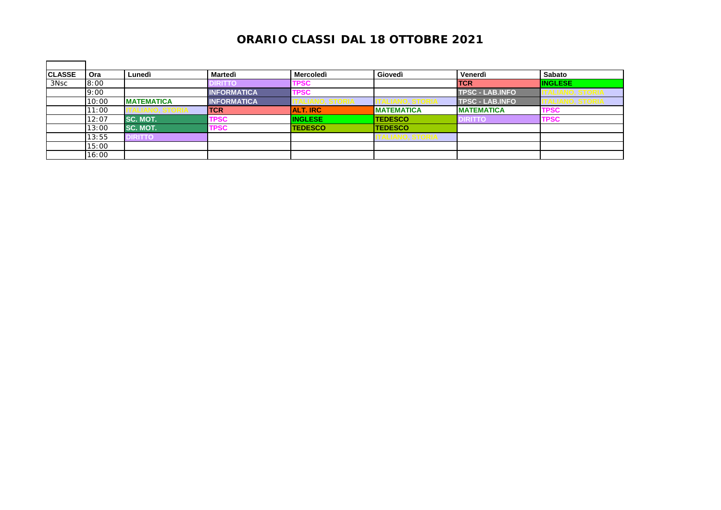| <b>CLASSE</b>    | <b>Ora</b> | Lunedì            | Martedì            | Mercoledì       | Giovedì                | Venerdì                | Sabato         |
|------------------|------------|-------------------|--------------------|-----------------|------------------------|------------------------|----------------|
| 3N <sub>SC</sub> | 8:00       |                   | <b>DIRITT</b>      | <b>TPSC</b>     |                        | <b>TCR</b>             | <b>INGLESE</b> |
|                  | 9:00       |                   | <b>INFORMATICA</b> | <b>TPSC</b>     |                        | <b>TPSC - LAB.INFO</b> | ernu. Jona     |
|                  | 10:00      | <b>MATEMATICA</b> | <b>INFORMATICA</b> | LIANU, ƏTUNIA   |                        | <b>TPSC - LAB.INFO</b> | ALIANU, ƏTUNIA |
|                  | 11:00      |                   | <b>TCR</b>         | <b>ALT. IRC</b> | <b>MATEMATICA</b>      | <b>MATEMATICA</b>      | <b>TPSC</b>    |
|                  | 12:07      | SC. MOT.          | <b>TPSC</b>        | <b>INGLESE</b>  | <b>ITEDESCO</b>        | <b>DIRITTO</b>         | <b>TPSC</b>    |
|                  | 13:00      | SC. MOT.          | <b>TPSC</b>        | <b>TEDESCO</b>  | <b>TEDESCO</b>         |                        |                |
|                  | 13:55      | <b>DIRITTO</b>    |                    |                 | <b>ALIANU, JI UNIA</b> |                        |                |
|                  | 15:00      |                   |                    |                 |                        |                        |                |
|                  | 16:00      |                   |                    |                 |                        |                        |                |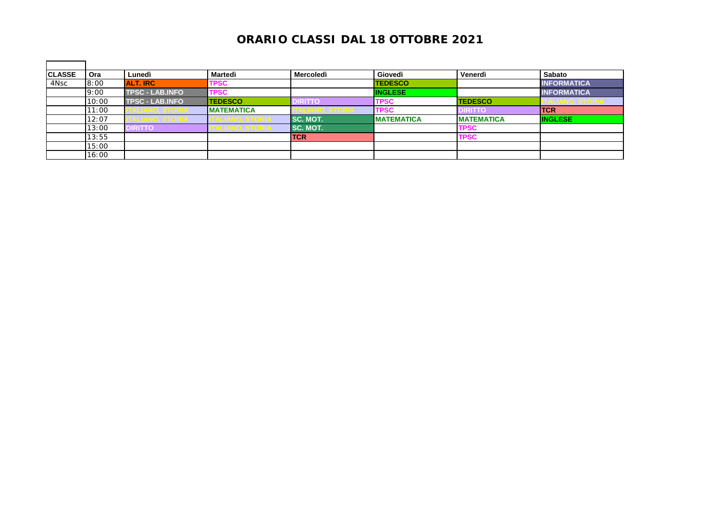| <b>CLASSE</b>    | Ora   | Lunedì                 | Martedì            | <b>Mercoledì</b> | Giovedì           | Venerdì           | <b>Sabato</b>      |
|------------------|-------|------------------------|--------------------|------------------|-------------------|-------------------|--------------------|
| 4N <sub>SC</sub> | 8:00  | <b>ALT. IRC</b>        | <b>TPSC</b>        |                  | <b>TEDESCO</b>    |                   | <b>INFORMATICA</b> |
|                  | 9:00  | <b>TPSC - LAB.INFO</b> | <b>TPSC</b>        |                  | <b>INGLESE</b>    |                   | <b>INFORMATICA</b> |
|                  | 10:00 | <b>TPSC - LAB.INFO</b> | <b>TEDESCO</b>     | <b>DIRITTO</b>   | <b>TPSC</b>       | <b>TEDESCO</b>    | LIANU, STURIA      |
|                  | 11:00 |                        | <b>IMATEMATICA</b> |                  | <b>TPSC</b>       | <b>IRITTO</b>     | <b>ITCR</b>        |
|                  | 12:07 | .mvv, otvnia           |                    | <b>SC. MOT.</b>  | <b>MATEMATICA</b> | <b>MATEMATICA</b> | <b>INGLESE</b>     |
|                  | 13:00 | <b>DIRITTO</b>         |                    | ISC. MOT.        |                   | <b>TPSC</b>       |                    |
|                  | 13:55 |                        |                    | <b>TCR</b>       |                   | <b>TPSC</b>       |                    |
|                  | 15:00 |                        |                    |                  |                   |                   |                    |
|                  | 16:00 |                        |                    |                  |                   |                   |                    |

 $\blacksquare$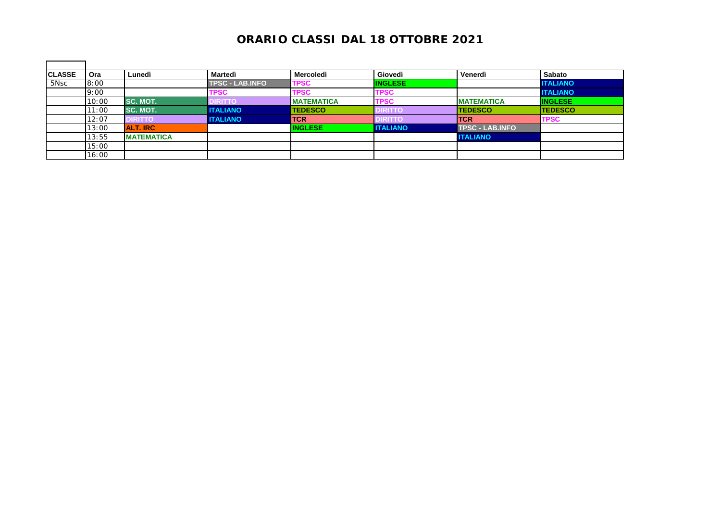| <b>CLASSE</b> | <b>Ora</b> | Lunedì            | Martedì                | <b>Mercoledì</b>  | Giovedì         | Venerdì                | <b>Sabato</b>   |
|---------------|------------|-------------------|------------------------|-------------------|-----------------|------------------------|-----------------|
| 5Nsc          | 8:00       |                   | <b>TPSC - LAB.INFO</b> | TPSC              | <b>INGLESE</b>  |                        | <b>ITALIANO</b> |
|               | 9:00       |                   | <b>TPSC</b>            | <b>TPSC</b>       | <b>TPSC</b>     |                        | <b>ITALIANO</b> |
|               | 10:00      | <b>SC. MOT.</b>   | <b>DIRITTO</b>         | <b>MATEMATICA</b> | <b>TPSC</b>     | <b>MATEMATICA</b>      | <b>INGLESE</b>  |
|               | 11:00      | <b>SC. MOT.</b>   | <b>ITALIANO</b>        | <b>TEDESCO</b>    | DIRITTC         | <b>TEDESCO</b>         | <b>TEDESCO</b>  |
|               | 12:07      | <b>DIRITTO</b>    | <b>I ITALIANO</b>      | <b>TCR</b>        | <b>DIRITTO</b>  | <b>ITCR</b>            | <b>TPSC</b>     |
|               | 13:00      | <b>ALT. IRC</b>   |                        | <b>INGLESE</b>    | <b>ITALIANO</b> | <b>TPSC - LAB.INFO</b> |                 |
|               | 13:55      | <b>MATEMATICA</b> |                        |                   |                 | <b>ITALIANO</b>        |                 |
|               | 15:00      |                   |                        |                   |                 |                        |                 |
|               | 16:00      |                   |                        |                   |                 |                        |                 |

 $\blacksquare$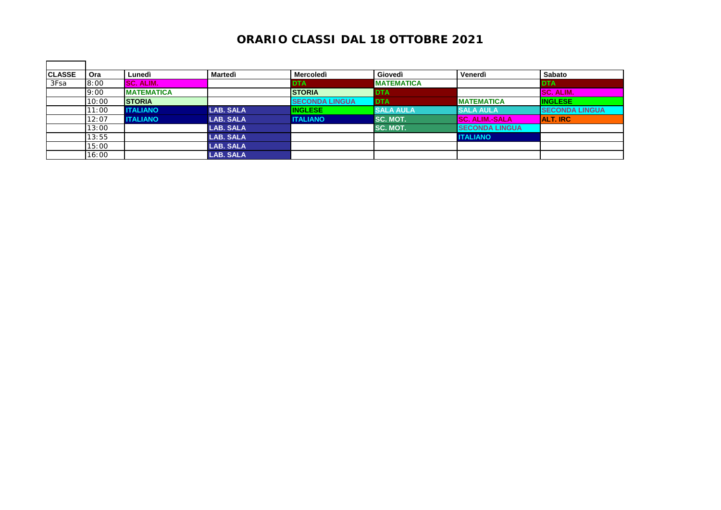| <b>CLASSE</b> | Ora   | Lunedì            | Martedì          | <b>Mercoledì</b>       | Giovedì           | Venerdì               | <b>Sabato</b>          |
|---------------|-------|-------------------|------------------|------------------------|-------------------|-----------------------|------------------------|
| 3Fsa          | 8:00  | SC. ALIM.         |                  | <b>DTA</b>             | <b>MATEMATICA</b> |                       | <b>DTA</b>             |
|               | 9:00  | <b>MATEMATICA</b> |                  | <b>STORIA</b>          | <b>DTA</b>        |                       | <b>SC. ALIM.</b>       |
|               | 10:00 | <b>STORIA</b>     |                  | <b>ISECONDA LINGUA</b> | <b>DTA</b>        | <b>MATEMATICA</b>     | <b>INGLESE</b>         |
|               | 11:00 | <b>ITALIANO</b>   | <b>LAB. SALA</b> | <b>INGLESE</b>         | <b>SALA AULA</b>  | <b>SALA AULA</b>      | <b>ISECONDA LINGUA</b> |
|               | 12:07 | <b>ITALIANO</b>   | <b>LAB. SALA</b> | <b>ITALIANO</b>        | SC. MOT.          | <b>SC. ALIM.-SALA</b> | <b>ALT. IRC</b>        |
|               | 13:00 |                   | <b>LAB. SALA</b> |                        | SC. MOT.          | <b>SECONDA LINGUA</b> |                        |
|               | 13:55 |                   | <b>LAB. SALA</b> |                        |                   | <b>ITALIANO</b>       |                        |
|               | 15:00 |                   | <b>LAB. SALA</b> |                        |                   |                       |                        |
|               | 16:00 |                   | <b>LAB. SALA</b> |                        |                   |                       |                        |

 $\blacksquare$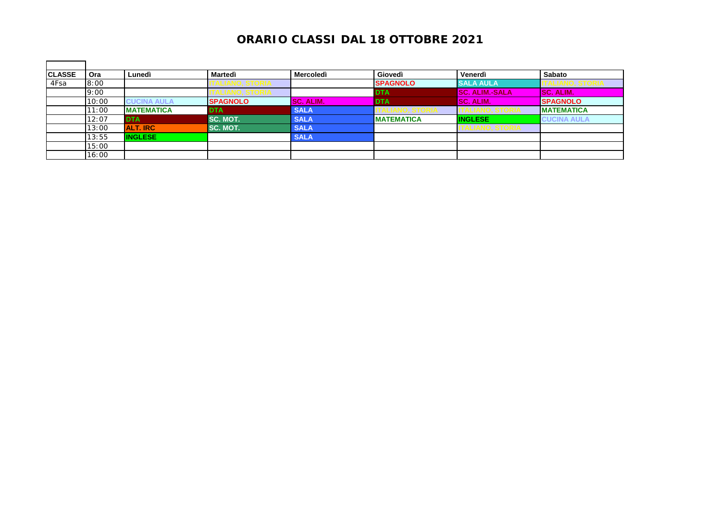| <b>CLASSE</b> | Ora   | Lunedì             | Martedì         | <b>Mercoledì</b> | Giovedì           | Venerdì               | <b>Sabato</b>      |
|---------------|-------|--------------------|-----------------|------------------|-------------------|-----------------------|--------------------|
| 4Fsa          | 8:00  |                    | ALIANV, OTVINA  |                  | <b>SPAGNOLO</b>   | <b>ISALA AULA</b>     | ALIANU, STURIA     |
|               | 9:00  |                    |                 |                  | <b>DTA</b>        | <b>SC. ALIM.-SALA</b> | <b>ISC. ALIM.</b>  |
|               | 10:00 | <b>CUCINA AULA</b> | <b>SPAGNOLO</b> | <b>SC. ALIM.</b> | <b>DTA</b>        | <b>SC. ALIM.</b>      | <b>SPAGNOLO</b>    |
|               | 11:00 | <b>MATEMATICA</b>  | <b>DTA</b>      | <b>SALA</b>      |                   |                       | <b>IMATEMATICA</b> |
|               | 12:07 | <b>DTA</b>         | SC. MOT.        | <b>SALA</b>      | <b>MATEMATICA</b> | <b>INGLESE</b>        | <b>CUCINA AULA</b> |
|               | 13:00 | <b>ALT. IRC</b>    | SC. MOT.        | <b>SALA</b>      |                   | ALIANU, JIUNIA        |                    |
|               | 13:55 | <b>INGLESE</b>     |                 | <b>SALA</b>      |                   |                       |                    |
|               | 15:00 |                    |                 |                  |                   |                       |                    |
|               | 16:00 |                    |                 |                  |                   |                       |                    |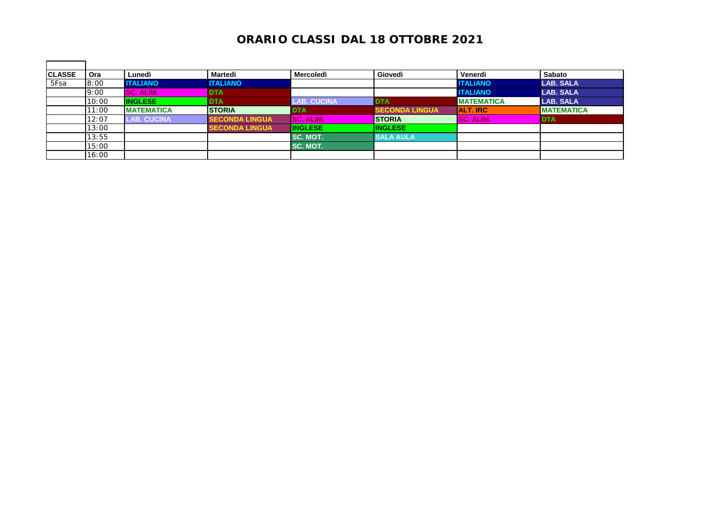| <b>CLASSE</b> | Ora   | Lunedì             | Martedì               | <b>Mercoledì</b>   | Giovedì               | Venerdì           | <b>Sabato</b>     |
|---------------|-------|--------------------|-----------------------|--------------------|-----------------------|-------------------|-------------------|
| 5Fsa          | 8:00  | <b>ITALIANO</b>    | <b>ITALIANO</b>       |                    |                       | <b>ITALIANO</b>   | <b>LAB. SALA</b>  |
|               | 9:00  | <b>SC. ALIM.</b>   | <b>DTA</b>            |                    |                       | <b>ITALIANO</b>   | <b>LAB. SALA</b>  |
|               | 10:00 | <b>INGLESE</b>     | <b>IDTA</b>           | <b>LAB. CUCINA</b> | <b>I</b> DTA          | <b>MATEMATICA</b> | <b>LAB. SALA</b>  |
|               | 11:00 | <b>MATEMATICA</b>  | <b>STORIA</b>         | <b>IDTA</b>        | <b>SECONDA LINGUA</b> | <b>ALT. IRC</b>   | <b>MATEMATICA</b> |
|               | 12:07 | <b>LAB. CUCINA</b> | <b>SECONDA LINGUA</b> | SC.<br>ALIM.       | <b>STORIA</b>         | <b>SC. ALIM.</b>  | <b>DTA</b>        |
|               | 13:00 |                    | <b>SECONDA LINGUA</b> | <b>INGLESE</b>     | <b>INGLESE</b>        |                   |                   |
|               | 13:55 |                    |                       | SC. MOT.           | <b>SALA AULA</b>      |                   |                   |
|               | 15:00 |                    |                       | SC. MOT.           |                       |                   |                   |
|               | 16:00 |                    |                       |                    |                       |                   |                   |

 $\mathbf{r}$ 

h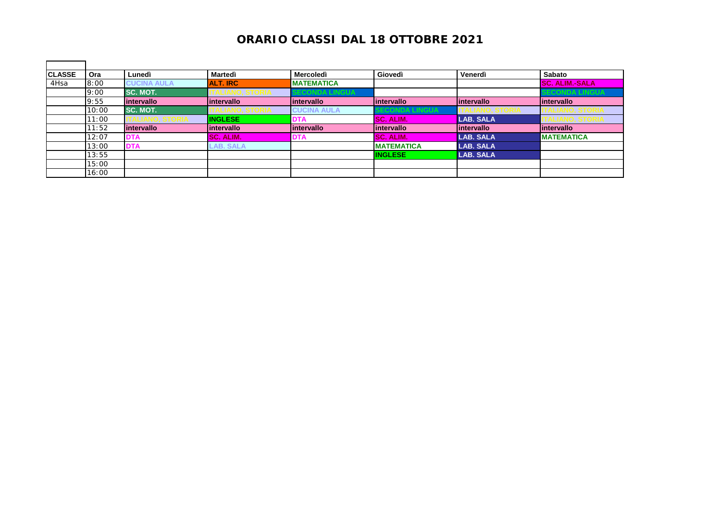| <b>CLASSE</b> | Ora   | Lunedì             | <b>Martedì</b>   | <b>Mercoledì</b>   | Giovedì           | Venerdì          | Sabato                |
|---------------|-------|--------------------|------------------|--------------------|-------------------|------------------|-----------------------|
| 4Hsa          | 8:00  | <b>CUCINA AULA</b> | <b>ALT. IRC</b>  | <b>MATEMATICA</b>  |                   |                  | <b>SC. ALIM.-SALA</b> |
|               | 9:00  | <b>SC. MOT.</b>    |                  | JUNDA LINGUA       |                   |                  | <b>ECONDA LINGUA</b>  |
|               | 9:55  | intervallo         | lintervallo      | lintervallo        | lintervallo       | lintervallo      | lintervallo           |
|               | 10:00 | <b>SC. MOT.</b>    |                  | <b>CUCINA AULA</b> | CONDA LINGUA      |                  |                       |
|               | 11:00 |                    | <b>INGLESE</b>   | <b>DTA</b>         | <b>SC. ALIM.</b>  | <b>LAB. SALA</b> |                       |
|               | 11:52 | intervallo         | lintervallo      | lintervallo        | lintervallo       | lintervallo      | lintervallo           |
|               | 12:07 | DTA                | <b>SC. ALIM.</b> | <b>DTA</b>         | SC. ALIM.         | LAB. SALA        | <b>MATEMATICA</b>     |
|               | 13:00 | <b>DTA</b>         | <b>AB. SALA</b>  |                    | <b>MATEMATICA</b> | <b>LAB. SALA</b> |                       |
|               | 13:55 |                    |                  |                    | <b>INGLESE</b>    | <b>LAB. SALA</b> |                       |
|               | 15:00 |                    |                  |                    |                   |                  |                       |
|               | 16:00 |                    |                  |                    |                   |                  |                       |

 $\blacksquare$ 

÷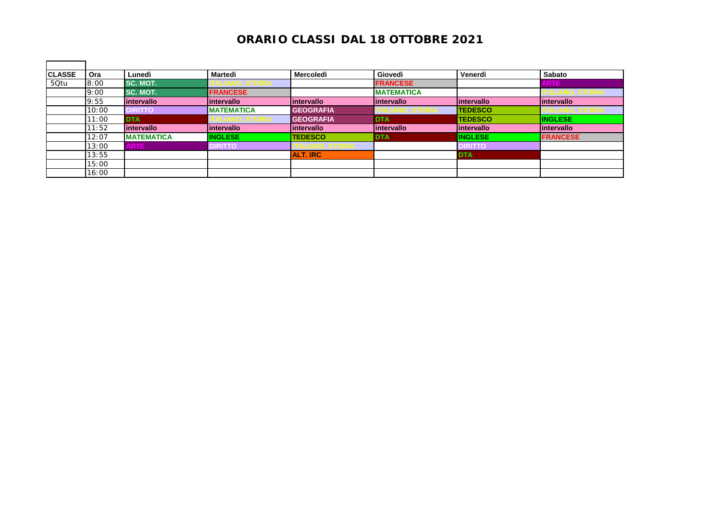| <b>CLASSE</b> | Ora   | Lunedì                   | Martedì           | <b>Mercoledì</b> | Giovedì           | Venerdì        | <b>Sabato</b>   |
|---------------|-------|--------------------------|-------------------|------------------|-------------------|----------------|-----------------|
| 50tu          | 8:00  | <b>SC. MOT.</b>          |                   |                  | <b>FRANCESE</b>   |                | <b>ARTE</b>     |
|               | 9:00  | <b>SC. MOT.</b>          | <b>FRANCESE</b>   |                  | <b>MATEMATICA</b> |                |                 |
|               | 9:55  | <i><b>Intervallo</b></i> | lintervallo       | lintervallo      | lintervallo       | lintervallo    | lintervallo     |
|               | 10:00 | <b>DIRITTO</b>           | <b>MATEMATICA</b> | <b>GEOGRAFIA</b> |                   | <b>TEDESCO</b> |                 |
|               | 11:00 | <b>DTA</b>               |                   | <b>GEOGRAFIA</b> | <b>DTA</b>        | <b>TEDESCO</b> | <b>INGLESE</b>  |
|               | 11:52 | intervallo               | lintervallo       | lintervallo      | lintervallo       | lintervallo    | lintervallo     |
|               | 12:07 | <b>IMATEMATICA</b>       | <b>INGLESE</b>    | <b>TEDESCO</b>   | <b>DTA</b>        | <b>INGLESE</b> | <b>FRANCESE</b> |
|               | 13:00 | <b>ARTE</b>              | <b>DIRITTO</b>    |                  |                   | <b>DIRITTO</b> |                 |
|               | 13:55 |                          |                   | <b>ALT. IRC</b>  |                   | <b>DTA</b>     |                 |
|               | 15:00 |                          |                   |                  |                   |                |                 |
|               | 16:00 |                          |                   |                  |                   |                |                 |

 $\mathbf{r}$ 

h